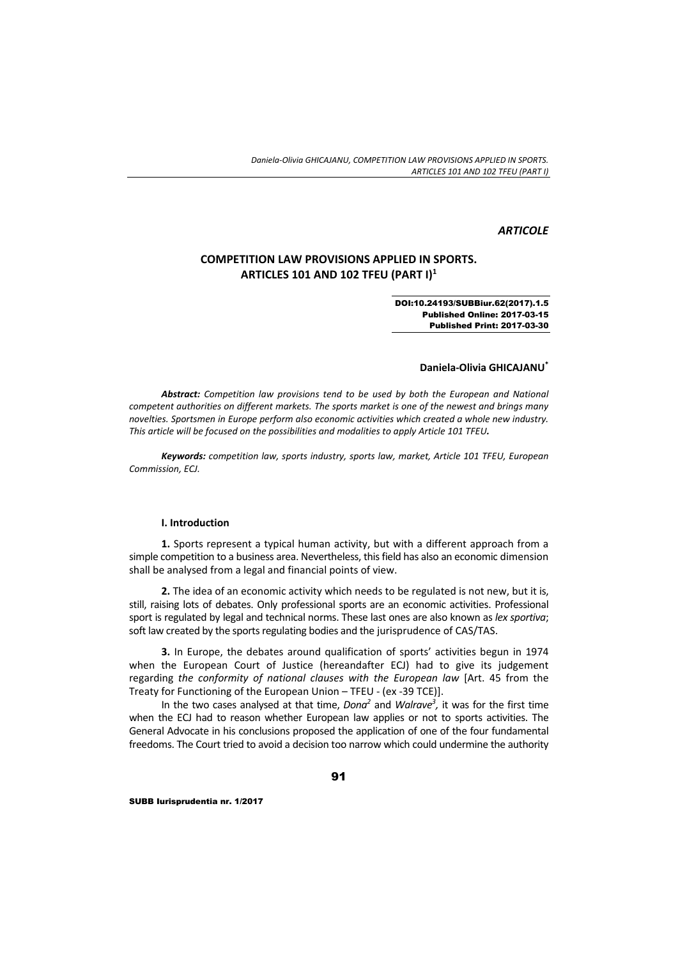### *ARTICOLE*

# **COMPETITION LAW PROVISIONS APPLIED IN SPORTS. ARTICLES 101 AND 102 TFEU (PART I)1**

#### DOI:10.24193/SUBBiur.62(2017).1.5 Published Online: 2017-03-15 Published Print: 2017-03-30

#### **Daniela‐Olivia GHICAJANU\***

*Abstract: Competition law provisions tend to be used by both the European and National competent authorities on different markets. The sports market is one of the newest and brings many novelties. Sportsmen in Europe perform also economic activities which created a whole new industry. This article will be focused on the possibilities and modalities to apply Article 101 TFEU.*

*Keywords: competition law, sports industry, sports law, market, Article 101 TFEU, European Commission, ECJ.*

#### **I. Introduction**

**1.** Sports represent a typical human activity, but with a different approach from a simple competition to a business area. Nevertheless, thisfield has also an economic dimension shall be analysed from a legal and financial points of view.

**2.** The idea of an economic activity which needs to be regulated is not new, but it is, still, raising lots of debates. Only professional sports are an economic activities. Professional sport is regulated by legal and technical norms. These last ones are also known as *lex sportiva*; soft law created by the sports regulating bodies and the jurisprudence of CAS/TAS.

**3.** In Europe, the debates around qualification of sports' activities begun in 1974 when the European Court of Justice (hereandafter ECJ) had to give its judgement regarding *the conformity of national clauses with the European law* [Art. 45 from the Treaty for Functioning of the European Union – TFEU ‐ (ex ‐39 TCE)].

In the two cases analysed at that time, *Dona*<sup>2</sup> and *Walrave<sup>3</sup>*, it was for the first time when the ECJ had to reason whether European law applies or not to sports activities. The General Advocate in his conclusions proposed the application of one of the four fundamental freedoms. The Court tried to avoid a decision too narrow which could undermine the authority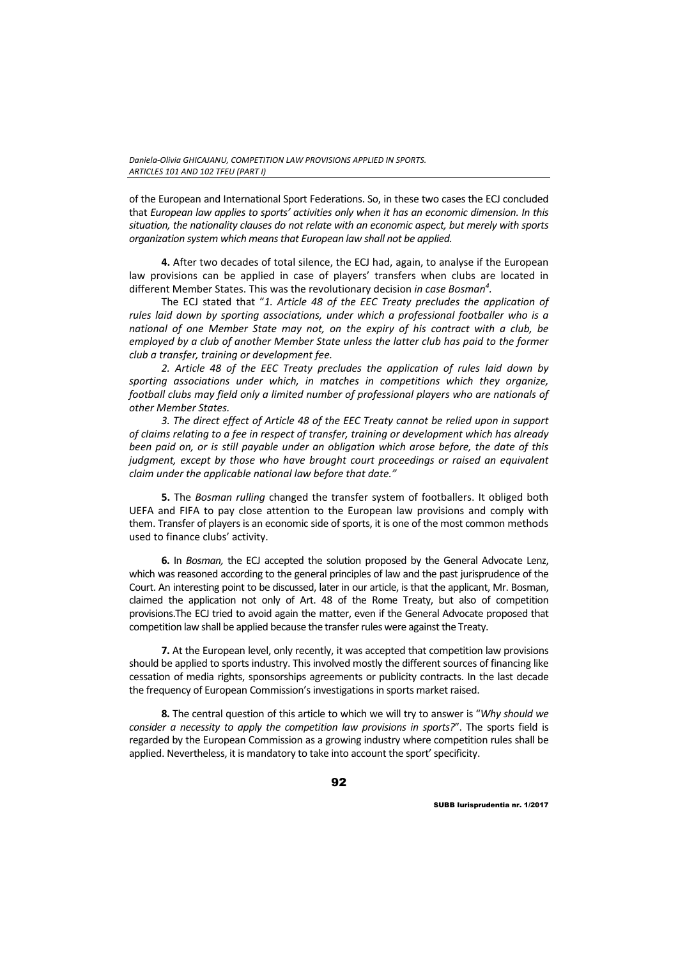of the European and International Sport Federations. So, in these two cases the ECJ concluded that *European law applies to sports' activities only when it has an economic dimension. In this situation, the nationality clauses do not relate with an economic aspect, but merely with sports organization system which meansthat European law shall not be applied.*

**4.** After two decades of total silence, the ECJ had, again, to analyse if the European law provisions can be applied in case of players' transfers when clubs are located in different Member States. This was the revolutionary decision *in case Bosman4 .*

The ECJ stated that "*1. Article 48 of the EEC Treaty precludes the application of rules laid down by sporting associations, under which a professional footballer who is a national of one Member State may not, on the expiry of his contract with a club, be employed by a club of another Member State unless the latter club has paid to the former club a transfer, training or development fee.*

*2. Article 48 of the EEC Treaty precludes the application of rules laid down by sporting associations under which, in matches in competitions which they organize, football clubs may field only a limited number of professional players who are nationals of other Member States.* 

*3. The direct effect of Article 48 of the EEC Treaty cannot be relied upon in support of claims relating to a fee in respect of transfer, training or development which has already been paid on, or is still payable under an obligation which arose before, the date of this judgment, except by those who have brought court proceedings or raised an equivalent claim under the applicable national law before that date."* 

**5.** The *Bosman rulling* changed the transfer system of footballers. It obliged both UEFA and FIFA to pay close attention to the European law provisions and comply with them. Transfer of players is an economic side of sports, it is one of the most common methods used to finance clubs' activity.

**6.** In *Bosman,* the ECJ accepted the solution proposed by the General Advocate Lenz, which was reasoned according to the general principles of law and the past jurisprudence of the Court. An interesting point to be discussed, later in our article, is that the applicant, Mr. Bosman, claimed the application not only of Art. 48 of the Rome Treaty, but also of competition provisions.The ECJ tried to avoid again the matter, even if the General Advocate proposed that competition law shall be applied because the transfer rules were against the Treaty.

**7.** At the European level, only recently, it was accepted that competition law provisions should be applied to sports industry. This involved mostly the different sources of financing like cessation of media rights, sponsorships agreements or publicity contracts. In the last decade the frequency of European Commission's investigations in sports market raised.

**8.** The central question of this article to which we will try to answer is "*Why should we consider a necessity to apply the competition law provisions in sports?*". The sports field is regarded by the European Commission as a growing industry where competition rules shall be applied. Nevertheless, it is mandatory to take into account the sport' specificity.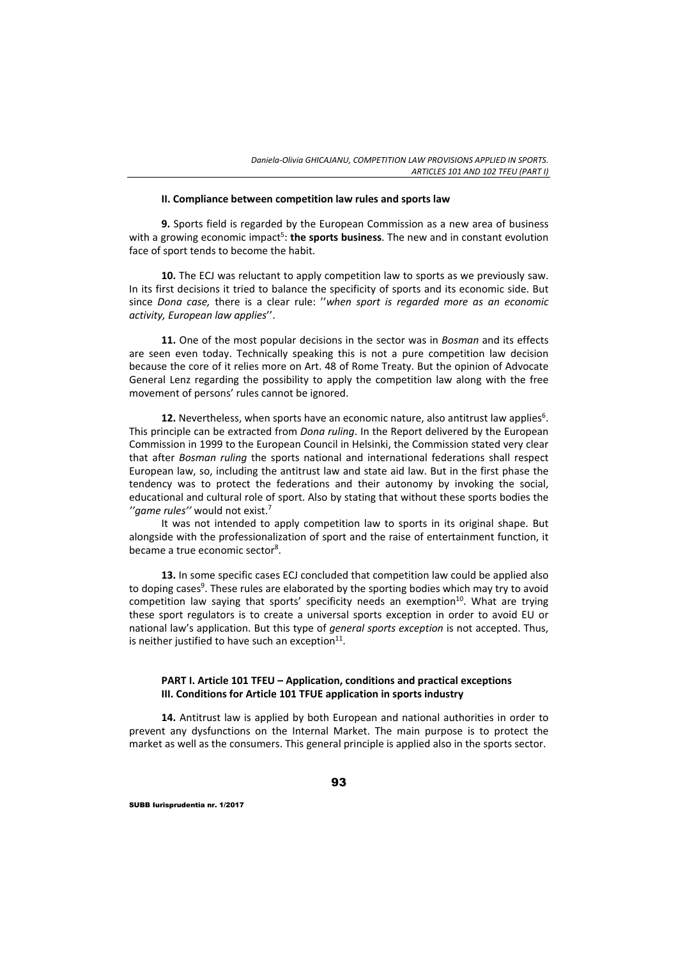#### **II. Compliance between competition law rules and sports law**

**9.** Sports field is regarded by the European Commission as a new area of business with a growing economic impact<sup>5</sup>: **the sports business**. The new and in constant evolution face of sport tends to become the habit.

**10.** The ECJ was reluctant to apply competition law to sports as we previously saw. In its first decisions it tried to balance the specificity of sports and its economic side. But since *Dona case,* there is a clear rule: ''*when sport is regarded more as an economic activity, European law applies*''.

**11.** One of the most popular decisions in the sector was in *Bosman* and its effects are seen even today. Technically speaking this is not a pure competition law decision because the core of it relies more on Art. 48 of Rome Treaty. But the opinion of Advocate General Lenz regarding the possibility to apply the competition law along with the free movement of persons' rules cannot be ignored.

**12.** Nevertheless, when sports have an economic nature, also antitrust law applies<sup>6</sup>. This principle can be extracted from *Dona ruling*. In the Report delivered by the European Commission in 1999 to the European Council in Helsinki, the Commission stated very clear that after *Bosman ruling* the sports national and international federations shall respect European law, so, including the antitrust law and state aid law. But in the first phase the tendency was to protect the federations and their autonomy by invoking the social, educational and cultural role of sport. Also by stating that without these sports bodies the *''game rules''* would not exist.7

It was not intended to apply competition law to sports in its original shape. But alongside with the professionalization of sport and the raise of entertainment function, it became a true economic sector<sup>8</sup>.

**13.** In some specific cases ECJ concluded that competition law could be applied also to doping cases<sup>9</sup>. These rules are elaborated by the sporting bodies which may try to avoid competition law saying that sports' specificity needs an exemption $10$ . What are trying these sport regulators is to create a universal sports exception in order to avoid EU or national law's application. But this type of *general sports exception* is not accepted. Thus, is neither justified to have such an exception $11$ .

### **PART I. Article 101 TFEU – Application, conditions and practical exceptions III. Conditions for Article 101 TFUE application in sports industry**

**14.** Antitrust law is applied by both European and national authorities in order to prevent any dysfunctions on the Internal Market. The main purpose is to protect the market as well as the consumers. This general principle is applied also in the sports sector.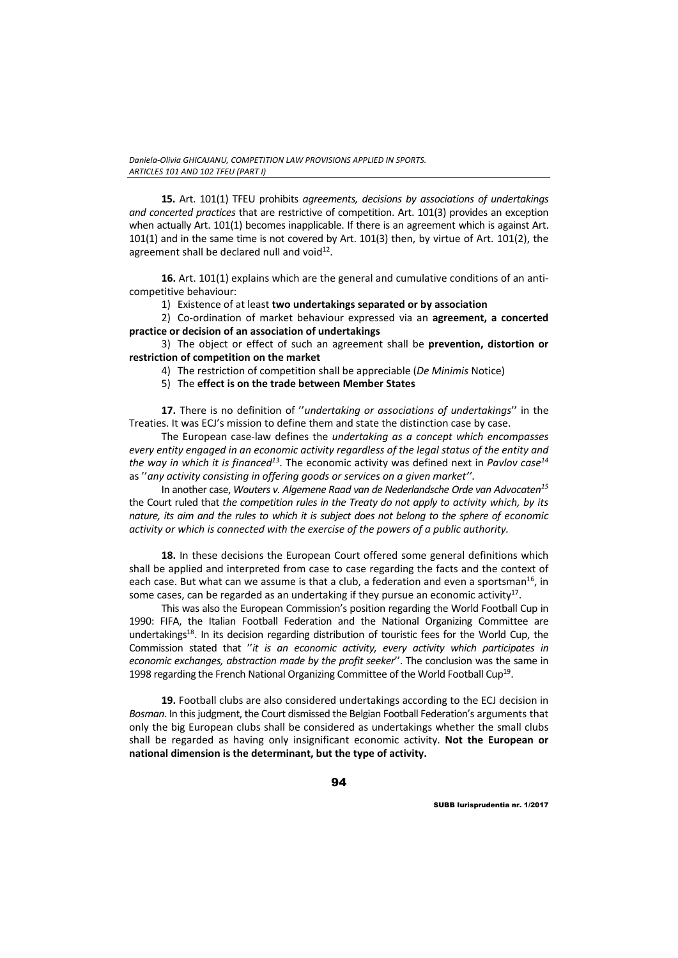**15.** Art. 101(1) TFEU prohibits *agreements, decisions by associations of undertakings and concerted practices* that are restrictive of competition. Art. 101(3) provides an exception when actually Art. 101(1) becomes inapplicable. If there is an agreement which is against Art. 101(1) and in the same time is not covered by Art. 101(3) then, by virtue of Art. 101(2), the agreement shall be declared null and void<sup>12</sup>.

**16.** Art. 101(1) explains which are the general and cumulative conditions of an anti‐ competitive behaviour:

1) Existence of at least **two undertakings separated or by association**

2) Co‐ordination of market behaviour expressed via an **agreement, a concerted practice or decision of an association of undertakings**

3) The object or effect of such an agreement shall be **prevention, distortion or restriction of competition on the market** 

4) The restriction of competition shall be appreciable (*De Minimis* Notice)

5) The **effect is on the trade between Member States**

**17.** There is no definition of ''*undertaking or associations of undertakings*'' in the Treaties. It was ECJ's mission to define them and state the distinction case by case.

The European case‐law defines the *undertaking as a concept which encompasses every entity engaged in an economic activity regardless of the legal status of the entity and the way in which it is financed13*. The economic activity was defined next in *Pavlov case14* as ''*any activity consisting in offering goods or services on a given market''*.

In another case, *Wouters v. Algemene Raad van de Nederlandsche Orde van Advocaten15* the Court ruled that *the competition rules in the Treaty do not apply to activity which, by its* nature, its aim and the rules to which it is subject does not belong to the sphere of economic *activity or which is connected with the exercise of the powers of a public authority.*

**18.** In these decisions the European Court offered some general definitions which shall be applied and interpreted from case to case regarding the facts and the context of each case. But what can we assume is that a club, a federation and even a sportsman<sup>16</sup>, in some cases, can be regarded as an undertaking if they pursue an economic activity<sup>17</sup>.

This was also the European Commission's position regarding the World Football Cup in 1990: FIFA, the Italian Football Federation and the National Organizing Committee are undertakings<sup>18</sup>. In its decision regarding distribution of touristic fees for the World Cup, the Commission stated that ''*it is an economic activity, every activity which participates in economic exchanges, abstraction made by the profit seeker*''. The conclusion was the same in 1998 regarding the French National Organizing Committee of the World Football Cup<sup>19</sup>.

**19.** Football clubs are also considered undertakings according to the ECJ decision in Bosman. In this judgment, the Court dismissed the Belgian Football Federation's arguments that only the big European clubs shall be considered as undertakings whether the small clubs shall be regarded as having only insignificant economic activity. **Not the European or national dimension is the determinant, but the type of activity.**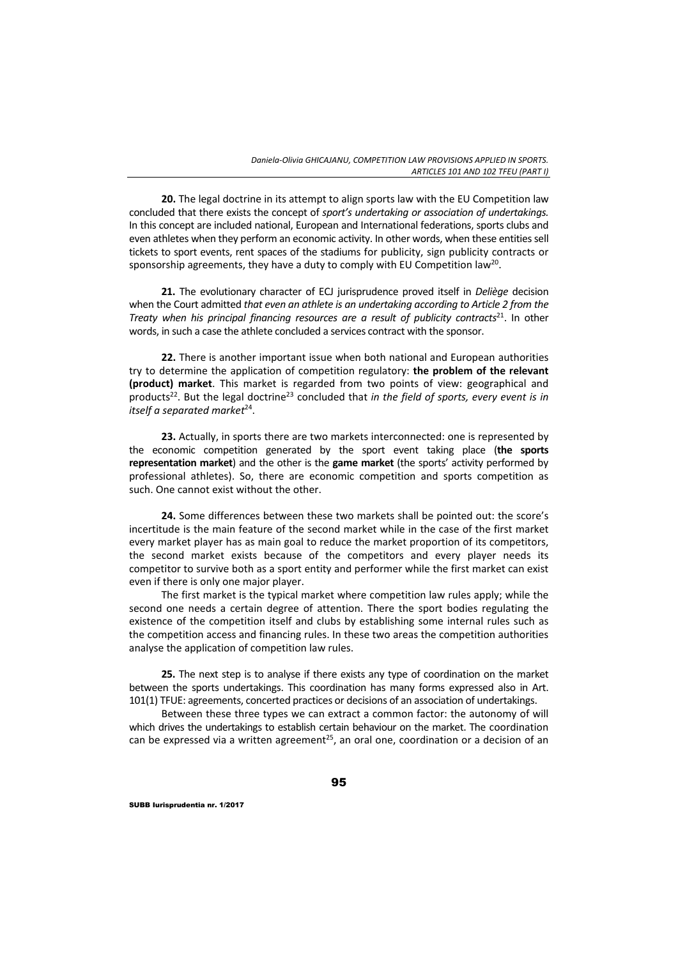**20.** The legal doctrine in its attempt to align sports law with the EU Competition law concluded that there exists the concept of *sport's undertaking or association of undertakings.* In this concept are included national, European and International federations, sports clubs and even athletes when they perform an economic activity. In other words, when these entities sell tickets to sport events, rent spaces of the stadiums for publicity, sign publicity contracts or sponsorship agreements, they have a duty to comply with EU Competition law<sup>20</sup>.

**21.** The evolutionary character of ECJ jurisprudence proved itself in *Deliège* decision when the Court admitted *that even an athlete is an undertaking according to Article 2 from the Treaty when his principal financing resources are a result of publicity contracts*21. In other words, in such a case the athlete concluded a services contract with the sponsor.

**22.** There is another important issue when both national and European authorities try to determine the application of competition regulatory: **the problem of the relevant (product) market**. This market is regarded from two points of view: geographical and products22. But the legal doctrine23 concluded that *in the field of sports, every event is in itself a separated market*24.

**23.** Actually, in sports there are two markets interconnected: one is represented by the economic competition generated by the sport event taking place (**the sports representation market**) and the other is the **game market** (the sports' activity performed by professional athletes). So, there are economic competition and sports competition as such. One cannot exist without the other.

**24.** Some differences between these two markets shall be pointed out: the score's incertitude is the main feature of the second market while in the case of the first market every market player has as main goal to reduce the market proportion of its competitors, the second market exists because of the competitors and every player needs its competitor to survive both as a sport entity and performer while the first market can exist even if there is only one major player.

The first market is the typical market where competition law rules apply; while the second one needs a certain degree of attention. There the sport bodies regulating the existence of the competition itself and clubs by establishing some internal rules such as the competition access and financing rules. In these two areas the competition authorities analyse the application of competition law rules.

**25.** The next step is to analyse if there exists any type of coordination on the market between the sports undertakings. This coordination has many forms expressed also in Art. 101(1) TFUE: agreements, concerted practices or decisions of an association of undertakings.

Between these three types we can extract a common factor: the autonomy of will which drives the undertakings to establish certain behaviour on the market. The coordination can be expressed via a written agreement<sup>25</sup>, an oral one, coordination or a decision of an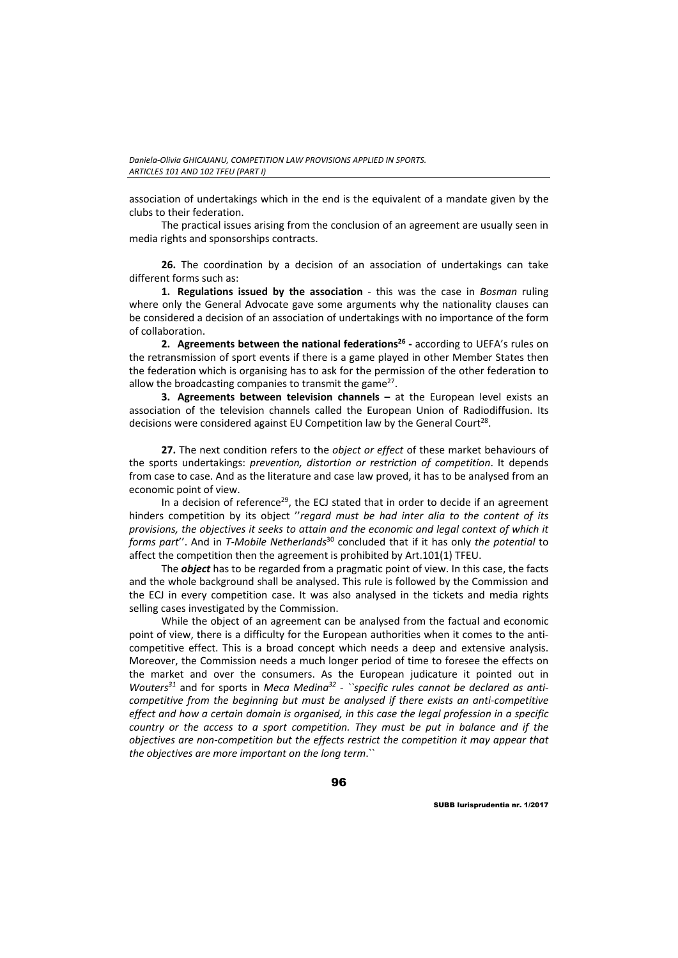association of undertakings which in the end is the equivalent of a mandate given by the clubs to their federation.

The practical issues arising from the conclusion of an agreement are usually seen in media rights and sponsorships contracts.

**26.** The coordination by a decision of an association of undertakings can take different forms such as:

**1. Regulations issued by the association** ‐ this was the case in *Bosman* ruling where only the General Advocate gave some arguments why the nationality clauses can be considered a decision of an association of undertakings with no importance of the form of collaboration.

**2. Agreements between the national federations26 ‐** according to UEFA's rules on the retransmission of sport events if there is a game played in other Member States then the federation which is organising has to ask for the permission of the other federation to allow the broadcasting companies to transmit the game<sup>27</sup>.

**3. Agreements between television channels –** at the European level exists an association of the television channels called the European Union of Radiodiffusion. Its decisions were considered against EU Competition law by the General Court<sup>28</sup>.

**27.** The next condition refers to the *object or effect* of these market behaviours of the sports undertakings: *prevention, distortion or restriction of competition*. It depends from case to case. And as the literature and case law proved, it has to be analysed from an economic point of view.

In a decision of reference<sup>29</sup>, the ECJ stated that in order to decide if an agreement hinders competition by its object ''*regard must be had inter alia to the content of its provisions, the objectives it seeks to attain and the economic and legal context of which it forms part*''. And in *T‐Mobile Netherlands*<sup>30</sup> concluded that if it has only *the potential* to affect the competition then the agreement is prohibited by Art.101(1) TFEU.

The *object* has to be regarded from a pragmatic point of view. In this case, the facts and the whole background shall be analysed. This rule is followed by the Commission and the ECJ in every competition case. It was also analysed in the tickets and media rights selling cases investigated by the Commission.

While the object of an agreement can be analysed from the factual and economic point of view, there is a difficulty for the European authorities when it comes to the anticompetitive effect. This is a broad concept which needs a deep and extensive analysis. Moreover, the Commission needs a much longer period of time to foresee the effects on the market and over the consumers. As the European judicature it pointed out in *Wouters31* and for sports in *Meca Medina32* ‐ *``specific rules cannot be declared as anti‐ competitive from the beginning but must be analysed if there exists an anti‐competitive effect and how a certain domain is organised, in this case the legal profession in a specific country or the access to a sport competition. They must be put in balance and if the objectives are non‐competition but the effects restrict the competition it may appear that the objectives are more important on the long term*.``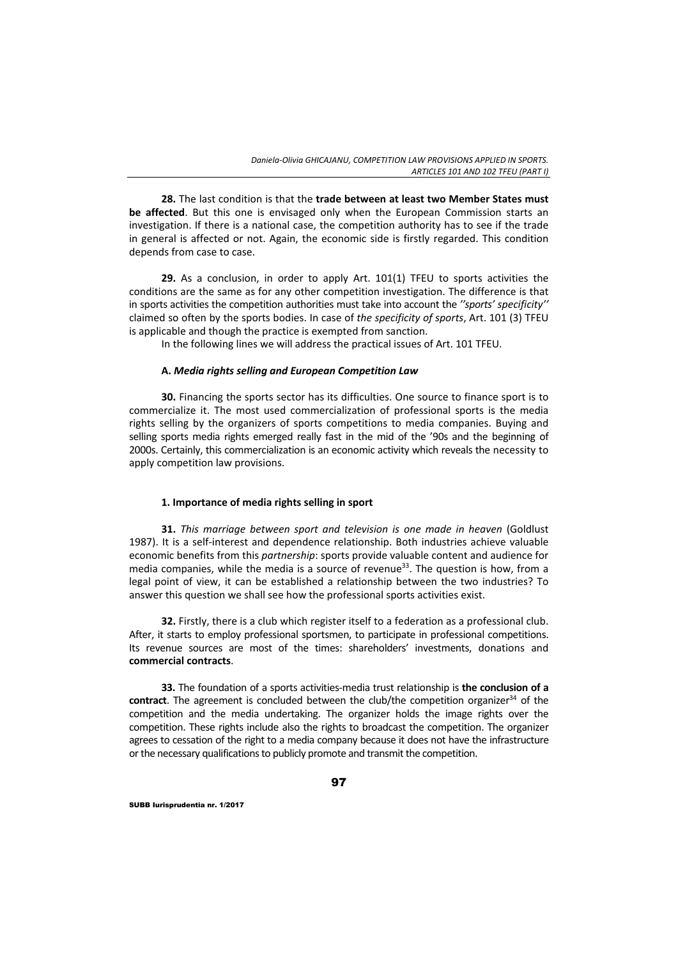**28.** The last condition is that the **trade between at least two Member States must be affected**. But this one is envisaged only when the European Commission starts an investigation. If there is a national case, the competition authority has to see if the trade in general is affected or not. Again, the economic side is firstly regarded. This condition depends from case to case.

**29.** As a conclusion, in order to apply Art. 101(1) TFEU to sports activities the conditions are the same as for any other competition investigation. The difference is that in sports activities the competition authorities must take into account the *''sports' specificity''* claimed so often by the sports bodies. In case of *the specificity of sports*, Art. 101 (3) TFEU is applicable and though the practice is exempted from sanction.

In the following lines we will address the practical issues of Art. 101 TFEU.

### **A.** *Media rights selling and European Competition Law*

**30.** Financing the sports sector has its difficulties. One source to finance sport is to commercialize it. The most used commercialization of professional sports is the media rights selling by the organizers of sports competitions to media companies. Buying and selling sports media rights emerged really fast in the mid of the '90s and the beginning of 2000s. Certainly, this commercialization is an economic activity which reveals the necessity to apply competition law provisions.

# **1. Importance of media rights selling in sport**

**31.** *This marriage between sport and television is one made in heaven* (Goldlust 1987). It is a self‐interest and dependence relationship. Both industries achieve valuable economic benefits from this *partnership*: sports provide valuable content and audience for media companies, while the media is a source of revenue<sup>33</sup>. The question is how, from a legal point of view, it can be established a relationship between the two industries? To answer this question we shall see how the professional sports activities exist.

**32.** Firstly, there is a club which register itself to a federation as a professional club. After, it starts to employ professional sportsmen, to participate in professional competitions. Its revenue sources are most of the times: shareholders' investments, donations and **commercial contracts**.

**33.** The foundation of a sports activities‐media trust relationship is **the conclusion of a contract**. The agreement is concluded between the club/the competition organizer<sup>34</sup> of the competition and the media undertaking. The organizer holds the image rights over the competition. These rights include also the rights to broadcast the competition. The organizer agrees to cessation of the right to a media company because it does not have the infrastructure or the necessary qualifications to publicly promote and transmit the competition.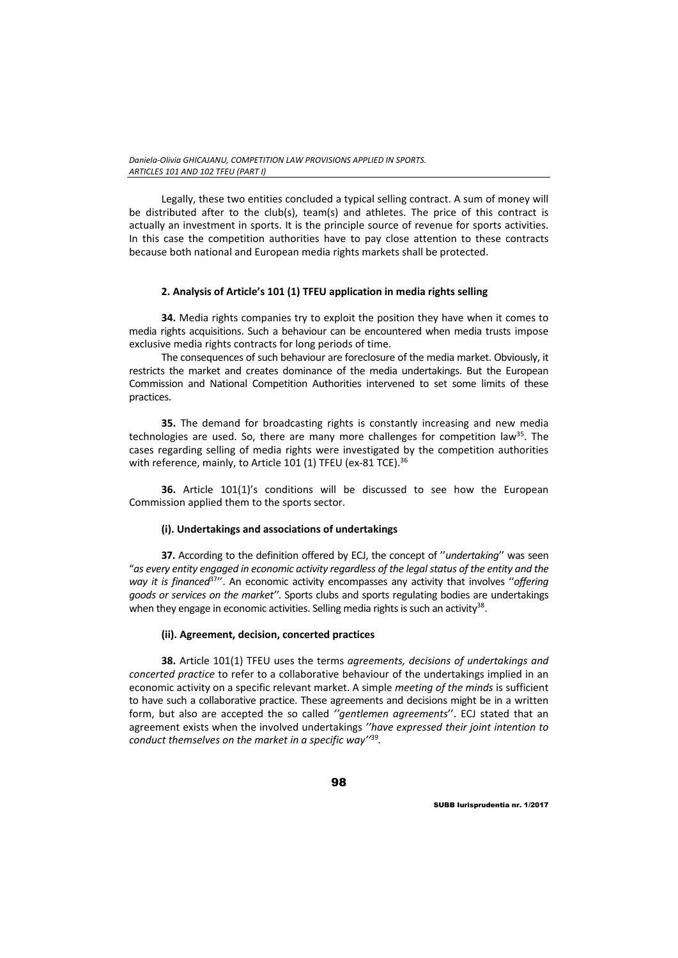Legally, these two entities concluded a typical selling contract. A sum of money will be distributed after to the club(s), team(s) and athletes. The price of this contract is actually an investment in sports. It is the principle source of revenue for sports activities. In this case the competition authorities have to pay close attention to these contracts because both national and European media rights markets shall be protected.

## **2. Analysis of Article's 101 (1) TFEU application in media rights selling**

**34.** Media rights companies try to exploit the position they have when it comes to media rights acquisitions. Such a behaviour can be encountered when media trusts impose exclusive media rights contracts for long periods of time.

The consequences of such behaviour are foreclosure of the media market. Obviously, it restricts the market and creates dominance of the media undertakings. But the European Commission and National Competition Authorities intervened to set some limits of these practices.

**35.** The demand for broadcasting rights is constantly increasing and new media technologies are used. So, there are many more challenges for competition law<sup>35</sup>. The cases regarding selling of media rights were investigated by the competition authorities with reference, mainly, to Article 101 (1) TFEU (ex-81 TCE).<sup>36</sup>

**36.** Article 101(1)'s conditions will be discussed to see how the European Commission applied them to the sports sector.

### **(i). Undertakings and associations of undertakings**

**37.** According to the definition offered by ECJ, the concept of ''*undertaking*'' was seen "*as every entity engaged in economic activity regardless of the legalstatus of the entity and the way it is financed*37''. An economic activity encompasses any activity that involves ''*offering goods or services on the market''*. Sports clubs and sports regulating bodies are undertakings when they engage in economic activities. Selling media rights is such an activity<sup>38</sup>.

### **(ii). Agreement, decision, concerted practices**

**38.** Article 101(1) TFEU uses the terms *agreements, decisions of undertakings and concerted practice* to refer to a collaborative behaviour of the undertakings implied in an economic activity on a specific relevant market. A simple *meeting of the minds* is sufficient to have such a collaborative practice. These agreements and decisions might be in a written form, but also are accepted the so called *''gentlemen agreements*''. ECJ stated that an agreement exists when the involved undertakings *''have expressed their joint intention to conduct themselves on the market in a specific way''*<sup>39</sup>*.*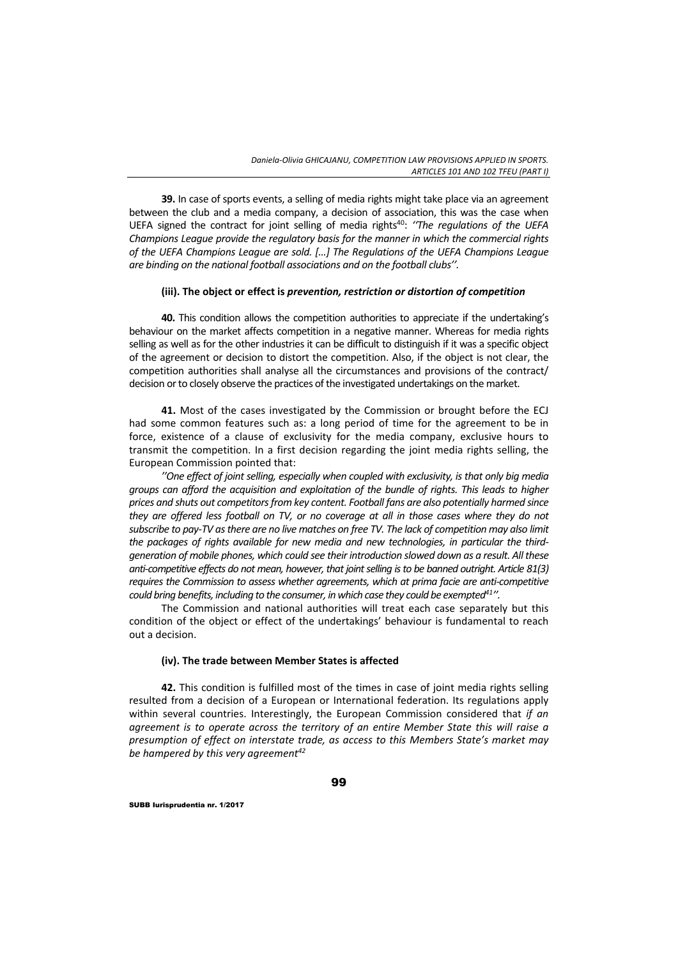**39.** In case of sports events, a selling of media rights might take place via an agreement between the club and a media company, a decision of association, this was the case when UEFA signed the contract for joint selling of media rights<sup>40</sup>: "The *regulations of the UEFA Champions League provide the regulatory basis for the manner in which the commercial rights of the UEFA Champions League are sold. […] The Regulations of the UEFA Champions League are binding on the national football associations and on the football clubs''.*

### **(iii). The object or effect is** *prevention, restriction or distortion of competition*

**40.** This condition allows the competition authorities to appreciate if the undertaking's behaviour on the market affects competition in a negative manner. Whereas for media rights selling as well as for the other industries it can be difficult to distinguish if it was a specific object of the agreement or decision to distort the competition. Also, if the object is not clear, the competition authorities shall analyse all the circumstances and provisions of the contract/ decision or to closely observe the practices of the investigated undertakings on the market.

**41.** Most of the cases investigated by the Commission or brought before the ECJ had some common features such as: a long period of time for the agreement to be in force, existence of a clause of exclusivity for the media company, exclusive hours to transmit the competition. In a first decision regarding the joint media rights selling, the European Commission pointed that:

*''One effect of joint selling, especially when coupled with exclusivity, is that only big media groups can afford the acquisition and exploitation of the bundle of rights. This leads to higher prices and shuts out competitorsfrom key content. Football fans are also potentially harmed since* they are offered less football on TV, or no coverage at all in those cases where they do not subscribe to pay-TV as there are no live matches on free TV. The lack of competition may also limit *the packages of rights available for new media and new technologies, in particular the third‐ generation of mobile phones, which could see their introduction slowed down as a result. All these anti‐competitive effects do not mean, however, that jointselling isto be banned outright. Article 81(3) requires the Commission to assess whether agreements, which at prima facie are anti‐competitive could bring benefits, including to the consumer, in which case they could be exempted41''.*

The Commission and national authorities will treat each case separately but this condition of the object or effect of the undertakings' behaviour is fundamental to reach out a decision.

### **(iv). The trade between Member States is affected**

**42.** This condition is fulfilled most of the times in case of joint media rights selling resulted from a decision of a European or International federation. Its regulations apply within several countries. Interestingly, the European Commission considered that *if an agreement is to operate across the territory of an entire Member State this will raise a presumption of effect on interstate trade, as access to this Members State's market may be hampered by this very agreement42*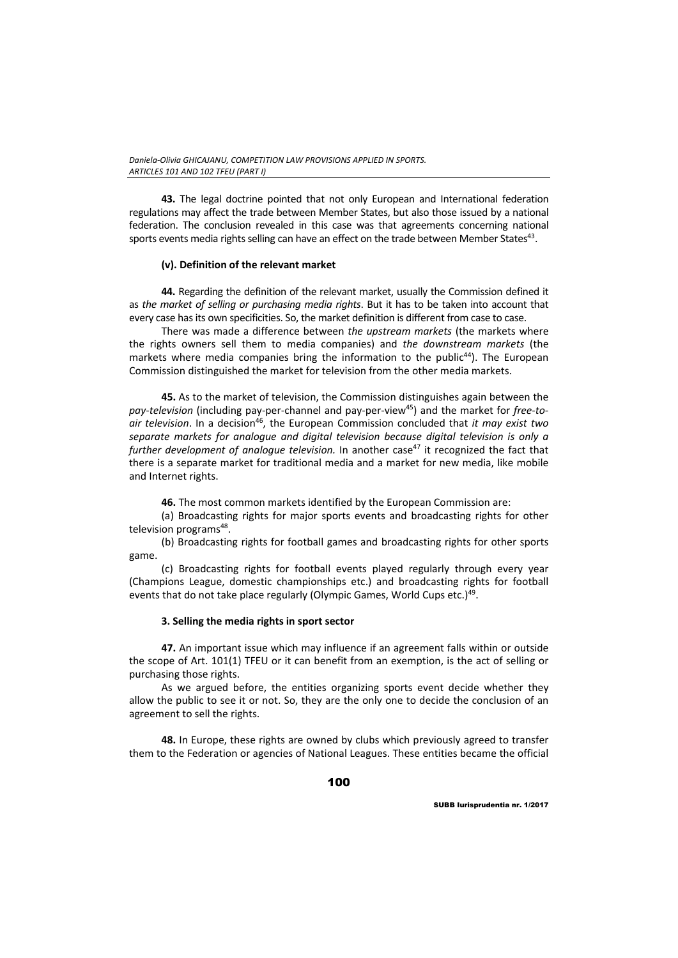**43.** The legal doctrine pointed that not only European and International federation regulations may affect the trade between Member States, but also those issued by a national federation. The conclusion revealed in this case was that agreements concerning national sports events media rights selling can have an effect on the trade between Member States<sup>43</sup>.

# **(v). Definition of the relevant market**

**44.** Regarding the definition of the relevant market, usually the Commission defined it as *the market of selling or purchasing media rights*. But it has to be taken into account that every case has its own specificities. So, the market definition is different from case to case.

There was made a difference between *the upstream markets* (the markets where the rights owners sell them to media companies) and *the downstream markets* (the markets where media companies bring the information to the public<sup>44</sup>). The European Commission distinguished the market for television from the other media markets.

**45.** As to the market of television, the Commission distinguishes again between the *pay‐television* (including pay‐per‐channel and pay‐per‐view45) and the market for *free‐to‐ air television*. In a decision46, the European Commission concluded that *it may exist two separate markets for analogue and digital television because digital television is only a further development of analogue television.* In another case<sup>47</sup> it recognized the fact that there is a separate market for traditional media and a market for new media, like mobile and Internet rights.

**46.** The most common markets identified by the European Commission are:

(a) Broadcasting rights for major sports events and broadcasting rights for other television programs<sup>48</sup>.

(b) Broadcasting rights for football games and broadcasting rights for other sports game.

(c) Broadcasting rights for football events played regularly through every year (Champions League, domestic championships etc.) and broadcasting rights for football events that do not take place regularly (Olympic Games, World Cups etc.)<sup>49</sup>.

# **3. Selling the media rights in sport sector**

**47.** An important issue which may influence if an agreement falls within or outside the scope of Art. 101(1) TFEU or it can benefit from an exemption, is the act of selling or purchasing those rights.

As we argued before, the entities organizing sports event decide whether they allow the public to see it or not. So, they are the only one to decide the conclusion of an agreement to sell the rights.

**48.** In Europe, these rights are owned by clubs which previously agreed to transfer them to the Federation or agencies of National Leagues. These entities became the official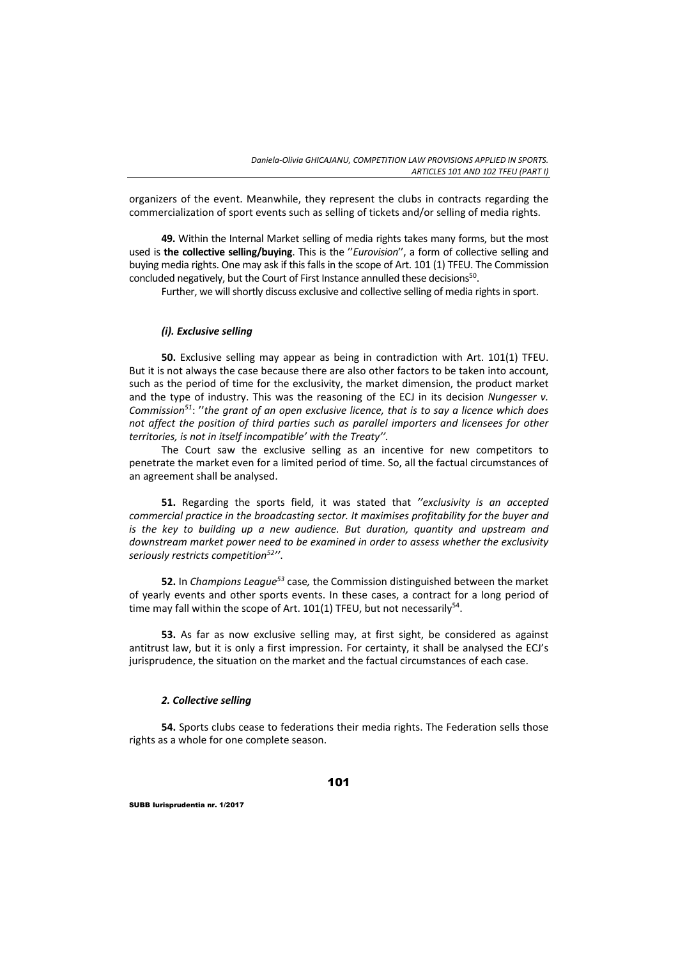organizers of the event. Meanwhile, they represent the clubs in contracts regarding the commercialization of sport events such as selling of tickets and/or selling of media rights.

**49.** Within the Internal Market selling of media rights takes many forms, but the most used is **the collective selling/buying**. This is the ''*Eurovision*'', a form of collective selling and buying media rights. One may ask if this falls in the scope of Art. 101 (1) TFEU. The Commission concluded negatively, but the Court of First Instance annulled these decisions<sup>50</sup>.

Further, we will shortly discuss exclusive and collective selling of media rights in sport.

## *(i). Exclusive selling*

**50.** Exclusive selling may appear as being in contradiction with Art. 101(1) TFEU. But it is not always the case because there are also other factors to be taken into account, such as the period of time for the exclusivity, the market dimension, the product market and the type of industry. This was the reasoning of the ECJ in its decision *Nungesser v. Commission51*: ''*the grant of an open exclusive licence, that is to say a licence which does not affect the position of third parties such as parallel importers and licensees for other territories, is not in itself incompatible' with the Treaty''.* 

The Court saw the exclusive selling as an incentive for new competitors to penetrate the market even for a limited period of time. So, all the factual circumstances of an agreement shall be analysed.

**51.** Regarding the sports field, it was stated that *''exclusivity is an accepted commercial practice in the broadcasting sector. It maximises profitability for the buyer and is the key to building up a new audience. But duration, quantity and upstream and downstream market power need to be examined in order to assess whether the exclusivity seriously restricts competition52''*.

**52.** In *Champions League53* case*,* the Commission distinguished between the market of yearly events and other sports events. In these cases, a contract for a long period of time may fall within the scope of Art.  $101(1)$  TFEU, but not necessarily<sup>54</sup>.

**53.** As far as now exclusive selling may, at first sight, be considered as against antitrust law, but it is only a first impression. For certainty, it shall be analysed the ECJ's jurisprudence, the situation on the market and the factual circumstances of each case.

### *2. Collective selling*

**54.** Sports clubs cease to federations their media rights. The Federation sells those rights as a whole for one complete season.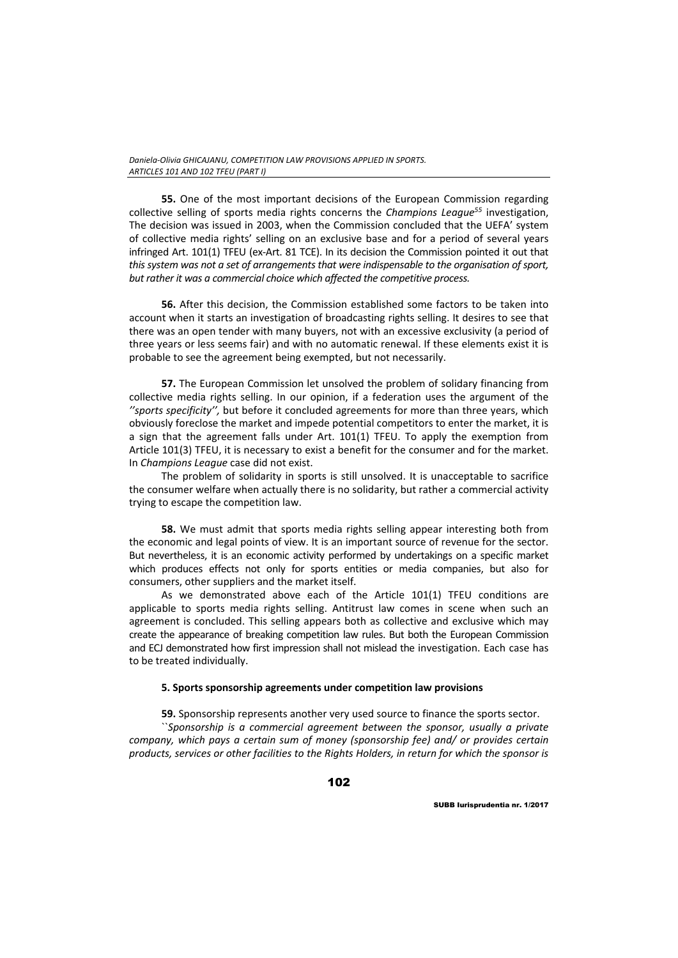**55.** One of the most important decisions of the European Commission regarding collective selling of sports media rights concerns the *Champions League55* investigation, The decision was issued in 2003, when the Commission concluded that the UEFA' system of collective media rights' selling on an exclusive base and for a period of several years infringed Art. 101(1) TFEU (ex‐Art. 81 TCE). In its decision the Commission pointed it out that *this system was not a set of arrangements that were indispensable to the organisation of sport, but rather it was a commercial choice which affected the competitive process.* 

**56.** After this decision, the Commission established some factors to be taken into account when it starts an investigation of broadcasting rights selling. It desires to see that there was an open tender with many buyers, not with an excessive exclusivity (a period of three years or less seems fair) and with no automatic renewal. If these elements exist it is probable to see the agreement being exempted, but not necessarily.

**57.** The European Commission let unsolved the problem of solidary financing from collective media rights selling. In our opinion, if a federation uses the argument of the *''sports specificity'',* but before it concluded agreements for more than three years, which obviously foreclose the market and impede potential competitors to enter the market, it is a sign that the agreement falls under Art. 101(1) TFEU. To apply the exemption from Article 101(3) TFEU, it is necessary to exist a benefit for the consumer and for the market. In *Champions League* case did not exist.

The problem of solidarity in sports is still unsolved. It is unacceptable to sacrifice the consumer welfare when actually there is no solidarity, but rather a commercial activity trying to escape the competition law.

**58.** We must admit that sports media rights selling appear interesting both from the economic and legal points of view. It is an important source of revenue for the sector. But nevertheless, it is an economic activity performed by undertakings on a specific market which produces effects not only for sports entities or media companies, but also for consumers, other suppliers and the market itself.

As we demonstrated above each of the Article 101(1) TFEU conditions are applicable to sports media rights selling. Antitrust law comes in scene when such an agreement is concluded. This selling appears both as collective and exclusive which may create the appearance of breaking competition law rules. But both the European Commission and ECJ demonstrated how first impression shall not mislead the investigation. Each case has to be treated individually.

### **5. Sports sponsorship agreements under competition law provisions**

**59.** Sponsorship represents another very used source to finance the sports sector.

``*Sponsorship is a commercial agreement between the sponsor, usually a private company, which pays a certain sum of money (sponsorship fee) and/ or provides certain products, services or other facilities to the Rights Holders, in return for which the sponsor is*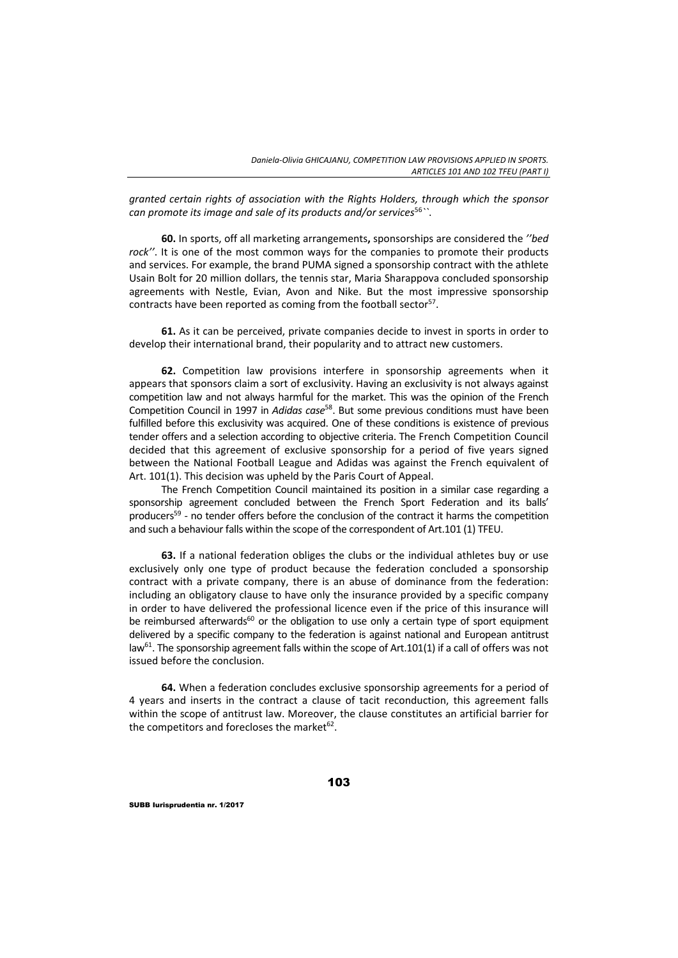*granted certain rights of association with the Rights Holders, through which the sponsor can promote its image and sale of its products and/or services*<sup>56</sup>*``*.

**60.** In sports, off all marketing arrangements**,** sponsorships are considered the *''bed rock''*. It is one of the most common ways for the companies to promote their products and services. For example, the brand PUMA signed a sponsorship contract with the athlete Usain Bolt for 20 million dollars, the tennis star, Maria Sharappova concluded sponsorship agreements with Nestle, Evian, Avon and Nike. But the most impressive sponsorship contracts have been reported as coming from the football sector<sup>57</sup>.

**61.** As it can be perceived, private companies decide to invest in sports in order to develop their international brand, their popularity and to attract new customers.

**62.** Competition law provisions interfere in sponsorship agreements when it appears that sponsors claim a sort of exclusivity. Having an exclusivity is not always against competition law and not always harmful for the market. This was the opinion of the French Competition Council in 1997 in *Adidas case*58. But some previous conditions must have been fulfilled before this exclusivity was acquired. One of these conditions is existence of previous tender offers and a selection according to objective criteria. The French Competition Council decided that this agreement of exclusive sponsorship for a period of five years signed between the National Football League and Adidas was against the French equivalent of Art. 101(1). This decision was upheld by the Paris Court of Appeal.

The French Competition Council maintained its position in a similar case regarding a sponsorship agreement concluded between the French Sport Federation and its balls' producers<sup>59</sup> - no tender offers before the conclusion of the contract it harms the competition and such a behaviour falls within the scope of the correspondent of Art.101 (1) TFEU.

**63.** If a national federation obliges the clubs or the individual athletes buy or use exclusively only one type of product because the federation concluded a sponsorship contract with a private company, there is an abuse of dominance from the federation: including an obligatory clause to have only the insurance provided by a specific company in order to have delivered the professional licence even if the price of this insurance will be reimbursed afterwards<sup>60</sup> or the obligation to use only a certain type of sport equipment delivered by a specific company to the federation is against national and European antitrust  $\text{law}^{61}$ . The sponsorship agreement falls within the scope of Art.101(1) if a call of offers was not issued before the conclusion.

**64.** When a federation concludes exclusive sponsorship agreements for a period of 4 years and inserts in the contract a clause of tacit reconduction, this agreement falls within the scope of antitrust law. Moreover, the clause constitutes an artificial barrier for the competitors and forecloses the market $62$ .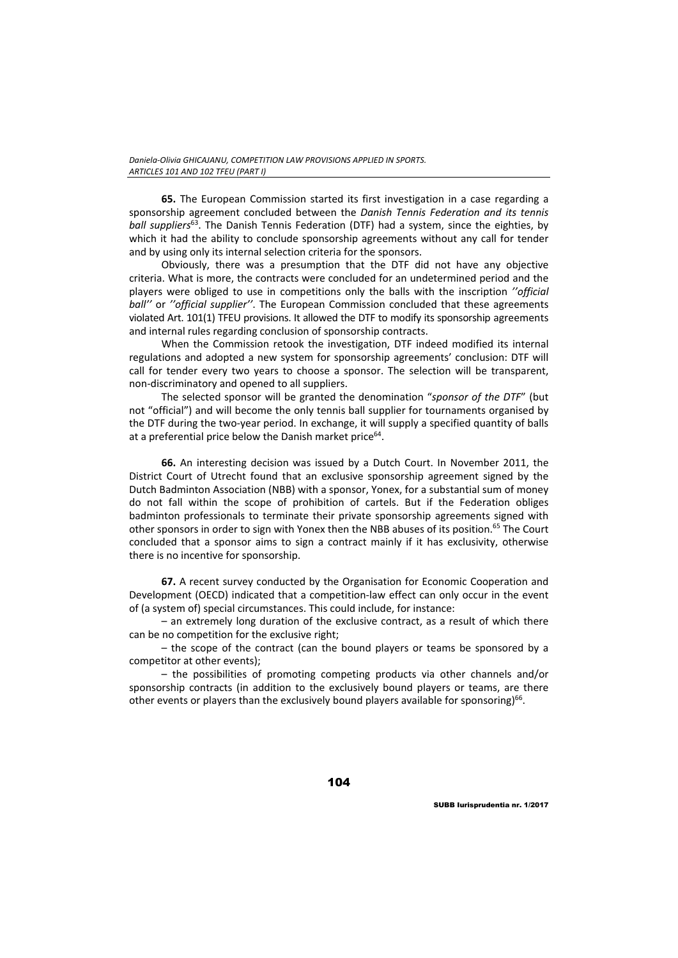**65.** The European Commission started its first investigation in a case regarding a sponsorship agreement concluded between the *Danish Tennis Federation and its tennis ball suppliers*63. The Danish Tennis Federation (DTF) had a system, since the eighties, by which it had the ability to conclude sponsorship agreements without any call for tender and by using only its internal selection criteria for the sponsors.

Obviously, there was a presumption that the DTF did not have any objective criteria. What is more, the contracts were concluded for an undetermined period and the players were obliged to use in competitions only the balls with the inscription *''official ball''* or *''official supplier''*. The European Commission concluded that these agreements violated Art. 101(1) TFEU provisions. It allowed the DTF to modify its sponsorship agreements and internal rules regarding conclusion of sponsorship contracts.

When the Commission retook the investigation, DTF indeed modified its internal regulations and adopted a new system for sponsorship agreements' conclusion: DTF will call for tender every two years to choose a sponsor. The selection will be transparent, non‐discriminatory and opened to all suppliers.

The selected sponsor will be granted the denomination "*sponsor of the DTF*" (but not "official") and will become the only tennis ball supplier for tournaments organised by the DTF during the two-year period. In exchange, it will supply a specified quantity of balls at a preferential price below the Danish market price $64$ .

**66.** An interesting decision was issued by a Dutch Court. In November 2011, the District Court of Utrecht found that an exclusive sponsorship agreement signed by the Dutch Badminton Association (NBB) with a sponsor, Yonex, for a substantial sum of money do not fall within the scope of prohibition of cartels. But if the Federation obliges badminton professionals to terminate their private sponsorship agreements signed with other sponsors in order to sign with Yonex then the NBB abuses of its position.<sup>65</sup> The Court concluded that a sponsor aims to sign a contract mainly if it has exclusivity, otherwise there is no incentive for sponsorship.

**67.** A recent survey conducted by the Organisation for Economic Cooperation and Development (OECD) indicated that a competition-law effect can only occur in the event of (a system of) special circumstances. This could include, for instance:

– an extremely long duration of the exclusive contract, as a result of which there can be no competition for the exclusive right;

– the scope of the contract (can the bound players or teams be sponsored by a competitor at other events);

– the possibilities of promoting competing products via other channels and/or sponsorship contracts (in addition to the exclusively bound players or teams, are there other events or players than the exclusively bound players available for sponsoring)<sup>66</sup>.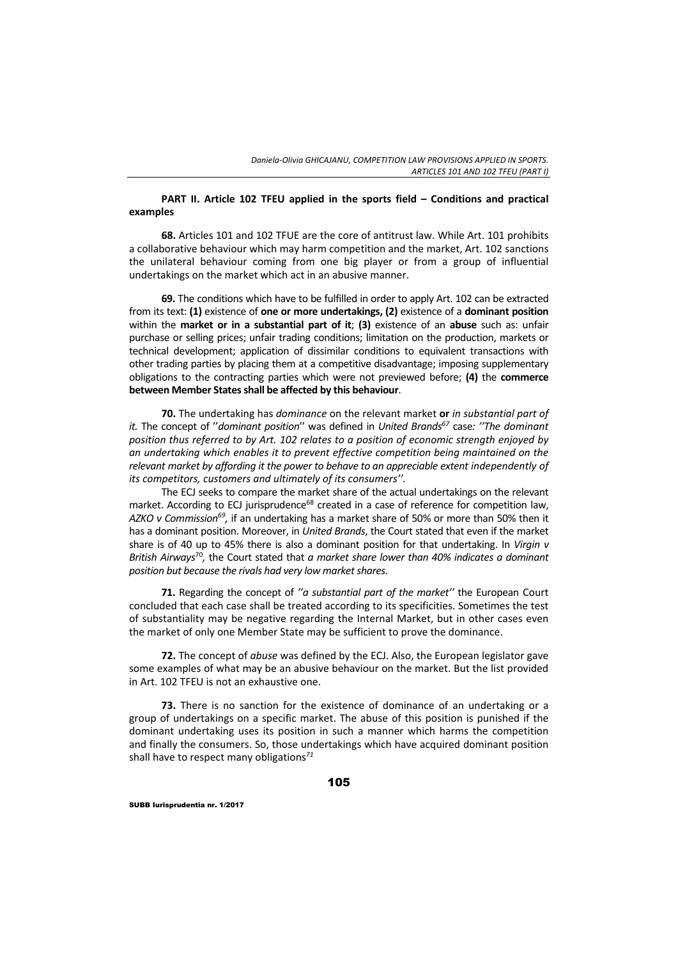## **PART II. Article 102 TFEU applied in the sports field – Conditions and practical examples**

**68.** Articles 101 and 102 TFUE are the core of antitrust law. While Art. 101 prohibits a collaborative behaviour which may harm competition and the market, Art. 102 sanctions the unilateral behaviour coming from one big player or from a group of influential undertakings on the market which act in an abusive manner.

**69.** The conditions which have to be fulfilled in order to apply Art. 102 can be extracted from its text: **(1)** existence of **one or more undertakings, (2)** existence of a **dominant position** within the **market or in a substantial part of it**; **(3)** existence of an **abuse** such as: unfair purchase or selling prices; unfair trading conditions; limitation on the production, markets or technical development; application of dissimilar conditions to equivalent transactions with other trading parties by placing them at a competitive disadvantage; imposing supplementary obligations to the contracting parties which were not previewed before; **(4)** the **commerce between Member Statesshall be affected by this behaviour**.

**70.** The undertaking has *dominance* on the relevant market **or** *in substantial part of it.* The concept of ''*dominant position*'' was defined in *United Brands67* case*: ''The dominant position thus referred to by Art. 102 relates to a position of economic strength enjoyed by an undertaking which enables it to prevent effective competition being maintained on the relevant market by affording it the power to behave to an appreciable extent independently of its competitors, customers and ultimately of its consumers''.*

The ECJ seeks to compare the market share of the actual undertakings on the relevant market. According to ECJ jurisprudence<sup>68</sup> created in a case of reference for competition law, *AZKO v Commission69,* if an undertaking has a market share of 50% or more than 50% then it has a dominant position. Moreover, in *United Brands*, the Court stated that even if the market share is of 40 up to 45% there is also a dominant position for that undertaking. In *Virgin v British Airways*<sup>70</sup>*,* the Court stated that *a market share lower than 40% indicates a dominant position but because the rivals had very low marketshares.*

**71.** Regarding the concept of *''a substantial part of the market''* the European Court concluded that each case shall be treated according to its specificities. Sometimes the test of substantiality may be negative regarding the Internal Market, but in other cases even the market of only one Member State may be sufficient to prove the dominance.

**72.** The concept of *abuse* was defined by the ECJ. Also, the European legislator gave some examples of what may be an abusive behaviour on the market. But the list provided in Art. 102 TFEU is not an exhaustive one.

**73.** There is no sanction for the existence of dominance of an undertaking or a group of undertakings on a specific market. The abuse of this position is punished if the dominant undertaking uses its position in such a manner which harms the competition and finally the consumers. So, those undertakings which have acquired dominant position shall have to respect many obligations*<sup>71</sup>*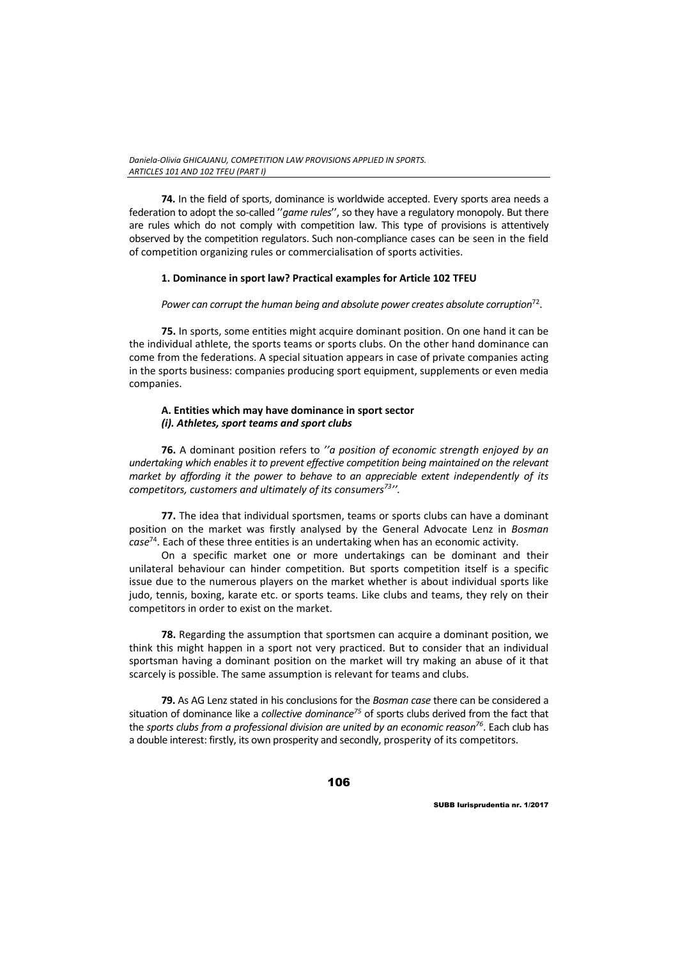**74.** In the field of sports, dominance is worldwide accepted. Every sports area needs a federation to adopt the so-called "game *rules*", so they have a regulatory monopoly. But there are rules which do not comply with competition law. This type of provisions is attentively observed by the competition regulators. Such non‐compliance cases can be seen in the field of competition organizing rules or commercialisation of sports activities.

# **1. Dominance in sport law? Practical examples for Article 102 TFEU**

*Power can corrupt the human being and absolute power creates absolute corruption*72.

**75.** In sports, some entities might acquire dominant position. On one hand it can be the individual athlete, the sports teams or sports clubs. On the other hand dominance can come from the federations. A special situation appears in case of private companies acting in the sports business: companies producing sport equipment, supplements or even media companies.

## **A. Entities which may have dominance in sport sector** *(i). Athletes, sport teams and sport clubs*

**76.** A dominant position refers to *''a position of economic strength enjoyed by an undertaking which enables it to prevent effective competition being maintained on the relevant market by affording it the power to behave to an appreciable extent independently of its competitors, customers and ultimately of its consumers73''.*

**77.** The idea that individual sportsmen, teams or sports clubs can have a dominant position on the market was firstly analysed by the General Advocate Lenz in *Bosman case*74. Each of these three entities is an undertaking when has an economic activity.

On a specific market one or more undertakings can be dominant and their unilateral behaviour can hinder competition. But sports competition itself is a specific issue due to the numerous players on the market whether is about individual sports like judo, tennis, boxing, karate etc. or sports teams. Like clubs and teams, they rely on their competitors in order to exist on the market.

**78.** Regarding the assumption that sportsmen can acquire a dominant position, we think this might happen in a sport not very practiced. But to consider that an individual sportsman having a dominant position on the market will try making an abuse of it that scarcely is possible. The same assumption is relevant for teams and clubs.

**79.** As AG Lenz stated in his conclusions for the *Bosman case* there can be considered a situation of dominance like a *collective dominance75* of sports clubs derived from the fact that the *sports clubs from a professional division are united by an economic reason76*. Each club has a double interest: firstly, its own prosperity and secondly, prosperity of its competitors.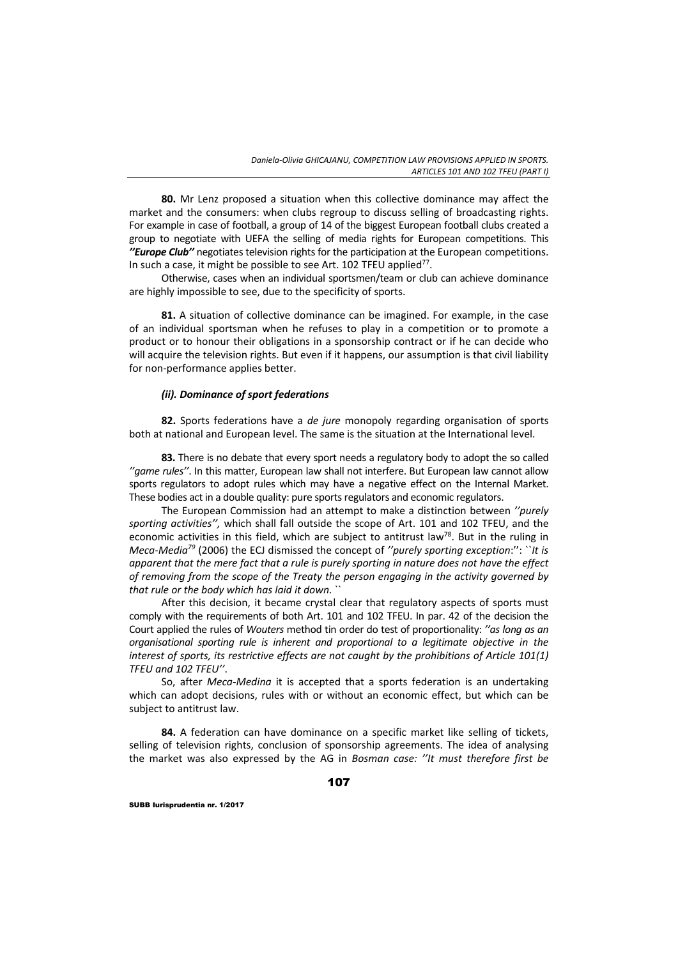**80.** Mr Lenz proposed a situation when this collective dominance may affect the market and the consumers: when clubs regroup to discuss selling of broadcasting rights. For example in case of football, a group of 14 of the biggest European football clubs created a group to negotiate with UEFA the selling of media rights for European competitions. This *''Europe Club''* negotiates television rightsfor the participation at the European competitions. In such a case, it might be possible to see Art. 102 TFEU applied<sup>77</sup>.

Otherwise, cases when an individual sportsmen/team or club can achieve dominance are highly impossible to see, due to the specificity of sports.

**81.** A situation of collective dominance can be imagined. For example, in the case of an individual sportsman when he refuses to play in a competition or to promote a product or to honour their obligations in a sponsorship contract or if he can decide who will acquire the television rights. But even if it happens, our assumption is that civil liability for non‐performance applies better.

## *(ii). Dominance of sport federations*

**82.** Sports federations have a *de jure* monopoly regarding organisation of sports both at national and European level. The same is the situation at the International level.

**83.** There is no debate that every sport needs a regulatory body to adopt the so called *''game rules''*. In this matter, European law shall not interfere. But European law cannot allow sports regulators to adopt rules which may have a negative effect on the Internal Market. These bodies act in a double quality: pure sports regulators and economic regulators.

The European Commission had an attempt to make a distinction between *''purely sporting activities'',* which shall fall outside the scope of Art. 101 and 102 TFEU, and the economic activities in this field, which are subject to antitrust law<sup>78</sup>. But in the ruling in *Meca‐Media79* (2006) the ECJ dismissed the concept of *''purely sporting exception*:'': ``*It is apparent that the mere fact that a rule is purely sporting in nature does not have the effect of removing from the scope of the Treaty the person engaging in the activity governed by that rule or the body which has laid it down.* ``

After this decision, it became crystal clear that regulatory aspects of sports must comply with the requirements of both Art. 101 and 102 TFEU. In par. 42 of the decision the Court applied the rules of *Wouters* method tin order do test of proportionality: *''as long as an organisational sporting rule is inherent and proportional to a legitimate objective in the interest of sports, its restrictive effects are not caught by the prohibitions of Article 101(1) TFEU and 102 TFEU''*.

So, after *Meca‐Medina* it is accepted that a sports federation is an undertaking which can adopt decisions, rules with or without an economic effect, but which can be subject to antitrust law.

**84.** A federation can have dominance on a specific market like selling of tickets, selling of television rights, conclusion of sponsorship agreements. The idea of analysing the market was also expressed by the AG in *Bosman case: ''It must therefore first be*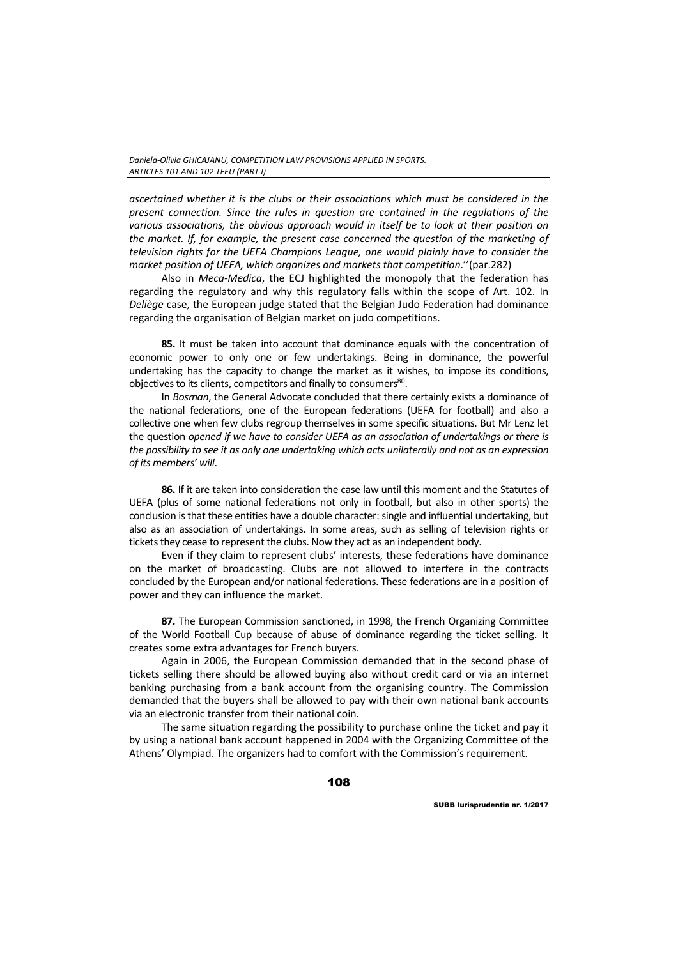*ascertained whether it is the clubs or their associations which must be considered in the present connection. Since the rules in question are contained in the regulations of the various associations, the obvious approach would in itself be to look at their position on the market. If, for example, the present case concerned the question of the marketing of television rights for the UEFA Champions League, one would plainly have to consider the market position of UEFA, which organizes and markets that competition*.''(par.282)

Also in *Meca‐Medica*, the ECJ highlighted the monopoly that the federation has regarding the regulatory and why this regulatory falls within the scope of Art. 102. In *Deliège* case, the European judge stated that the Belgian Judo Federation had dominance regarding the organisation of Belgian market on judo competitions.

**85.** It must be taken into account that dominance equals with the concentration of economic power to only one or few undertakings. Being in dominance, the powerful undertaking has the capacity to change the market as it wishes, to impose its conditions, objectives to its clients, competitors and finally to consumers<sup>80</sup>.

In *Bosman*, the General Advocate concluded that there certainly exists a dominance of the national federations, one of the European federations (UEFA for football) and also a collective one when few clubs regroup themselves in some specific situations. But Mr Lenz let the question *opened if we have to consider UEFA as an association of undertakings or there is the possibility to see it as only one undertaking which acts unilaterally and not as an expression of its members' will*.

**86.** If it are taken into consideration the case law until this moment and the Statutes of UEFA (plus of some national federations not only in football, but also in other sports) the conclusion is that these entities have a double character: single and influential undertaking, but also as an association of undertakings. In some areas, such as selling of television rights or tickets they cease to represent the clubs. Now they act as an independent body.

Even if they claim to represent clubs' interests, these federations have dominance on the market of broadcasting. Clubs are not allowed to interfere in the contracts concluded by the European and/or national federations. These federations are in a position of power and they can influence the market.

**87.** The European Commission sanctioned, in 1998, the French Organizing Committee of the World Football Cup because of abuse of dominance regarding the ticket selling. It creates some extra advantages for French buyers.

Again in 2006, the European Commission demanded that in the second phase of tickets selling there should be allowed buying also without credit card or via an internet banking purchasing from a bank account from the organising country. The Commission demanded that the buyers shall be allowed to pay with their own national bank accounts via an electronic transfer from their national coin.

The same situation regarding the possibility to purchase online the ticket and pay it by using a national bank account happened in 2004 with the Organizing Committee of the Athens' Olympiad. The organizers had to comfort with the Commission's requirement.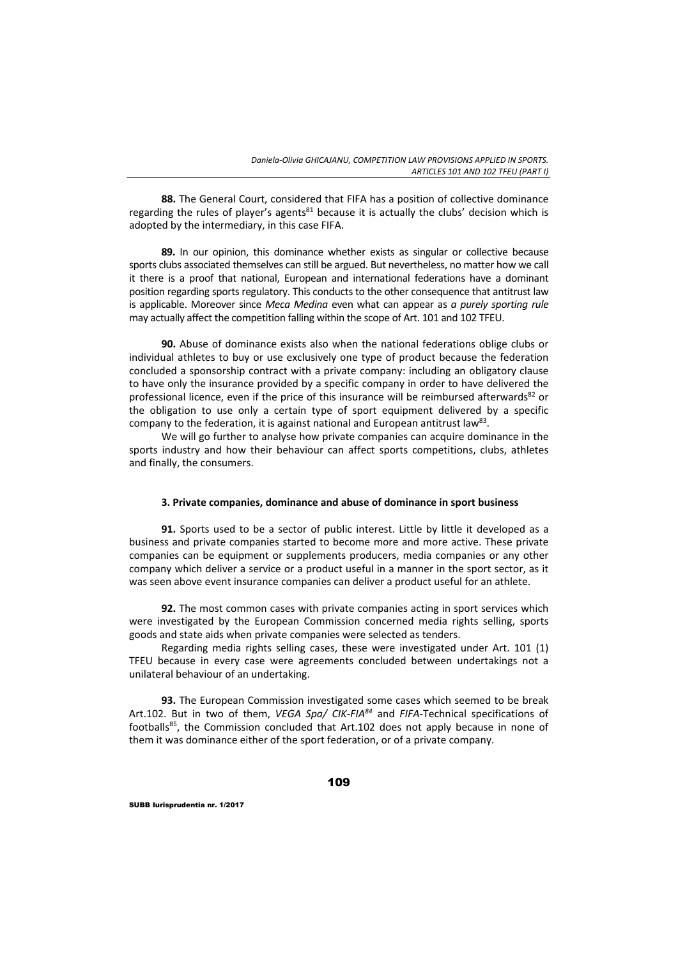**88.** The General Court, considered that FIFA has a position of collective dominance regarding the rules of player's agents $81$  because it is actually the clubs' decision which is adopted by the intermediary, in this case FIFA.

**89.** In our opinion, this dominance whether exists as singular or collective because sports clubs associated themselves can still be argued. But nevertheless, no matter how we call it there is a proof that national, European and international federations have a dominant position regarding sports regulatory. This conducts to the other consequence that antitrust law is applicable. Moreover since *Meca Medina* even what can appear as *a purely sporting rule* may actually affect the competition falling within the scope of Art. 101 and 102 TFEU.

**90.** Abuse of dominance exists also when the national federations oblige clubs or individual athletes to buy or use exclusively one type of product because the federation concluded a sponsorship contract with a private company: including an obligatory clause to have only the insurance provided by a specific company in order to have delivered the professional licence, even if the price of this insurance will be reimbursed afterwards<sup>82</sup> or the obligation to use only a certain type of sport equipment delivered by a specific company to the federation, it is against national and European antitrust law<sup>83</sup>.

We will go further to analyse how private companies can acquire dominance in the sports industry and how their behaviour can affect sports competitions, clubs, athletes and finally, the consumers.

### **3. Private companies, dominance and abuse of dominance in sport business**

**91.** Sports used to be a sector of public interest. Little by little it developed as a business and private companies started to become more and more active. These private companies can be equipment or supplements producers, media companies or any other company which deliver a service or a product useful in a manner in the sport sector, as it was seen above event insurance companies can deliver a product useful for an athlete.

**92.** The most common cases with private companies acting in sport services which were investigated by the European Commission concerned media rights selling, sports goods and state aids when private companies were selected as tenders.

Regarding media rights selling cases, these were investigated under Art. 101 (1) TFEU because in every case were agreements concluded between undertakings not a unilateral behaviour of an undertaking.

**93.** The European Commission investigated some cases which seemed to be break Art.102. But in two of them, *VEGA Spa/ CIK‐FIA84* and *FIFA*‐Technical specifications of footballs85, the Commission concluded that Art.102 does not apply because in none of them it was dominance either of the sport federation, or of a private company.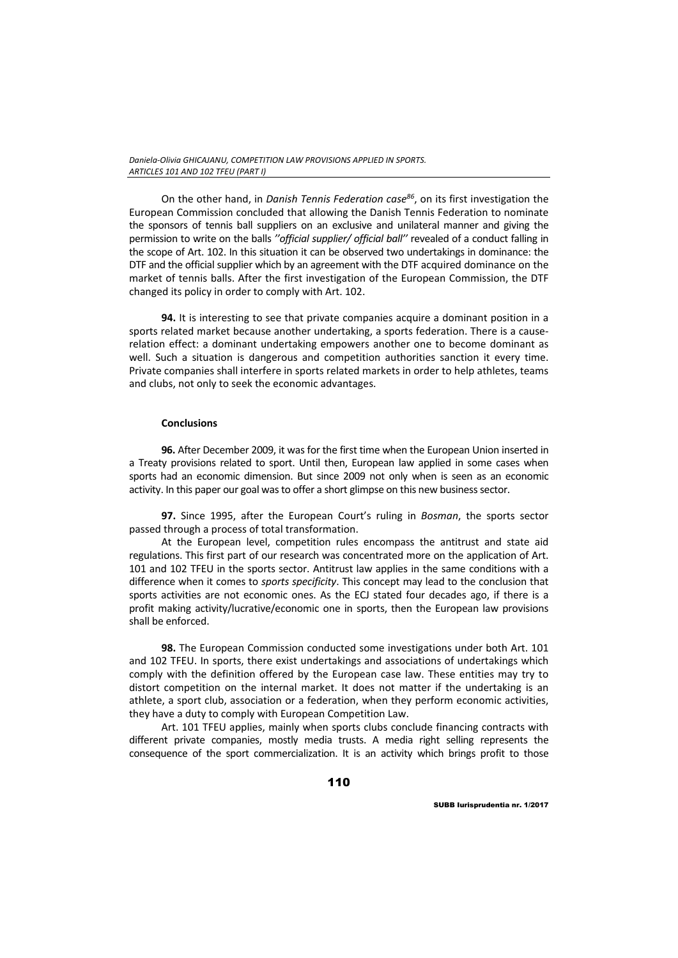On the other hand, in *Danish Tennis Federation case86*, on its first investigation the European Commission concluded that allowing the Danish Tennis Federation to nominate the sponsors of tennis ball suppliers on an exclusive and unilateral manner and giving the permission to write on the balls *''official supplier/ official ball''* revealed of a conduct falling in the scope of Art. 102. In this situation it can be observed two undertakings in dominance: the DTF and the official supplier which by an agreement with the DTF acquired dominance on the market of tennis balls. After the first investigation of the European Commission, the DTF changed its policy in order to comply with Art. 102.

**94.** It is interesting to see that private companies acquire a dominant position in a sports related market because another undertaking, a sports federation. There is a causerelation effect: a dominant undertaking empowers another one to become dominant as well. Such a situation is dangerous and competition authorities sanction it every time. Private companies shall interfere in sports related markets in order to help athletes, teams and clubs, not only to seek the economic advantages.

# **Conclusions**

**96.** After December 2009, it was for the first time when the European Union inserted in a Treaty provisions related to sport. Until then, European law applied in some cases when sports had an economic dimension. But since 2009 not only when is seen as an economic activity. In this paper our goal was to offer a short glimpse on this new business sector.

**97.** Since 1995, after the European Court's ruling in *Bosman*, the sports sector passed through a process of total transformation.

At the European level, competition rules encompass the antitrust and state aid regulations. This first part of our research was concentrated more on the application of Art. 101 and 102 TFEU in the sports sector. Antitrust law applies in the same conditions with a difference when it comes to *sports specificity*. This concept may lead to the conclusion that sports activities are not economic ones. As the ECJ stated four decades ago, if there is a profit making activity/lucrative/economic one in sports, then the European law provisions shall be enforced.

**98.** The European Commission conducted some investigations under both Art. 101 and 102 TFEU. In sports, there exist undertakings and associations of undertakings which comply with the definition offered by the European case law. These entities may try to distort competition on the internal market. It does not matter if the undertaking is an athlete, a sport club, association or a federation, when they perform economic activities, they have a duty to comply with European Competition Law.

Art. 101 TFEU applies, mainly when sports clubs conclude financing contracts with different private companies, mostly media trusts. A media right selling represents the consequence of the sport commercialization. It is an activity which brings profit to those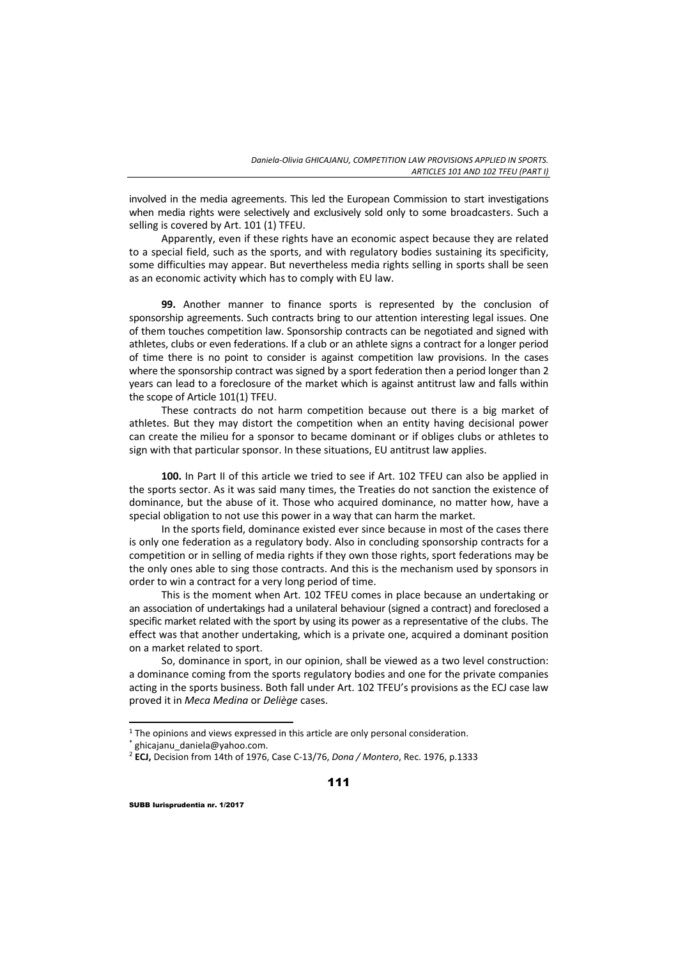involved in the media agreements. This led the European Commission to start investigations when media rights were selectively and exclusively sold only to some broadcasters. Such a selling is covered by Art. 101 (1) TFEU.

Apparently, even if these rights have an economic aspect because they are related to a special field, such as the sports, and with regulatory bodies sustaining its specificity, some difficulties may appear. But nevertheless media rights selling in sports shall be seen as an economic activity which has to comply with EU law.

**99.** Another manner to finance sports is represented by the conclusion of sponsorship agreements. Such contracts bring to our attention interesting legal issues. One of them touches competition law. Sponsorship contracts can be negotiated and signed with athletes, clubs or even federations. If a club or an athlete signs a contract for a longer period of time there is no point to consider is against competition law provisions. In the cases where the sponsorship contract was signed by a sport federation then a period longer than 2 years can lead to a foreclosure of the market which is against antitrust law and falls within the scope of Article 101(1) TFEU.

These contracts do not harm competition because out there is a big market of athletes. But they may distort the competition when an entity having decisional power can create the milieu for a sponsor to became dominant or if obliges clubs or athletes to sign with that particular sponsor. In these situations, EU antitrust law applies.

**100.** In Part II of this article we tried to see if Art. 102 TFEU can also be applied in the sports sector. As it was said many times, the Treaties do not sanction the existence of dominance, but the abuse of it. Those who acquired dominance, no matter how, have a special obligation to not use this power in a way that can harm the market.

In the sports field, dominance existed ever since because in most of the cases there is only one federation as a regulatory body. Also in concluding sponsorship contracts for a competition or in selling of media rights if they own those rights, sport federations may be the only ones able to sing those contracts. And this is the mechanism used by sponsors in order to win a contract for a very long period of time.

This is the moment when Art. 102 TFEU comes in place because an undertaking or an association of undertakings had a unilateral behaviour (signed a contract) and foreclosed a specific market related with the sport by using its power as a representative of the clubs. The effect was that another undertaking, which is a private one, acquired a dominant position on a market related to sport.

So, dominance in sport, in our opinion, shall be viewed as a two level construction: a dominance coming from the sports regulatory bodies and one for the private companies acting in the sports business. Both fall under Art. 102 TFEU's provisions as the ECJ case law proved it in *Meca Medina* or *Deliège* cases.

<u> 1989 - Johann Barn, mars ar breithinn ar chuid ann an t-</u>

 $1$  The opinions and views expressed in this article are only personal consideration.

<sup>\*</sup> ghicajanu\_daniela@yahoo.com.

<sup>2</sup> **ECJ,** Decision from 14th of 1976, Case C‐13/76, *Dona / Montero*, Rec. 1976, p.1333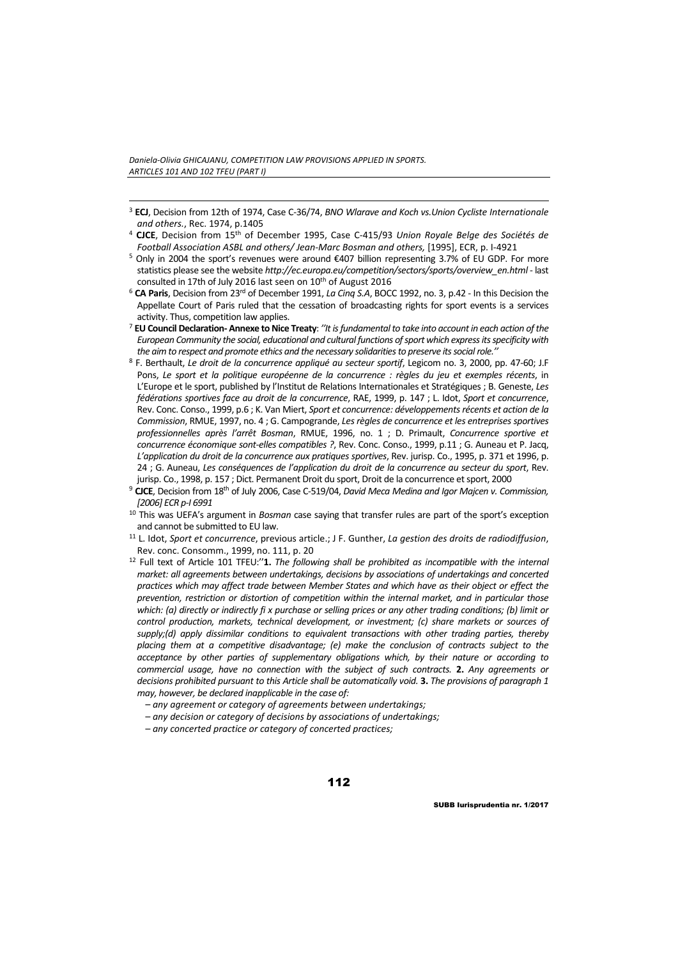- <u> 1989 Johann Stein, marwolaethau a bhann an t-Amhain ann an t-Amhain an t-Amhain an t-Amhain an t-Amhain an </u> <sup>3</sup> **ECJ**, Decision from 12th of 1974, Case C‐36/74, *BNO Wlarave and Koch vs.Union Cycliste Internationale and others.*, Rec. 1974, p.1405
- <sup>4</sup> **CJCE**, Decision from 15th of December 1995, Case C‐415/93 *Union Royale Belge des Sociétés de Football Association ASBL and others/ Jean‐Marc Bosman and others,* [1995], ECR, p. I‐4921
- <sup>5</sup> Only in 2004 the sport's revenues were around €407 billion representing 3.7% of EU GDP. For more statistics please see the website *http://ec.europa.eu/competition/sectors/sports/overview\_en.html* ‐ last consulted in 17th of July 2016 last seen on 10<sup>th</sup> of August 2016
- <sup>6</sup> **CA Paris**, Decision from 23rd of December 1991, *La Cinq S.A*, BOCC 1992, no. 3, p.42 ‐ In this Decision the Appellate Court of Paris ruled that the cessation of broadcasting rights for sport events is a services activity. Thus, competition law applies.
- <sup>7</sup> **EU Council Declaration‐ Annexe toNice Treaty**: *''It isfundamentalto take into accountin each action of the European Community the social, educational and cultural functions ofsport which expressitsspecificity with the aim to respect and promote ethics and the necessary solidaritiesto preserve itssocialrole.''*
- <sup>8</sup> F. Berthault, *Le droit de la concurrence appliqué au secteur sportif*, Legicom no. 3, 2000, pp. 47‐60; J.F Pons, *Le sport et la politique européenne de la concurrence : règles du jeu et exemples récents*, in L'Europe et le sport, published by l'Institut de Relations Internationales et Stratégiques ; B. Geneste, *Les fédérations sportives face au droit de la concurrence*, RAE, 1999, p. 147 ; L. Idot, *Sport et concurrence*, Rev. Conc. Conso., 1999, p.6 ; K. Van Miert, *Sport et concurrence: développementsrécents et action de la Commission*, RMUE, 1997, no. 4 ; G. Campogrande, *Les règles de concurrence et les entreprises sportives professionnelles après l'arrêt Bosman*, RMUE, 1996, no. 1 ; D. Primault, *Concurrence sportive et concurrence économique sont‐elles compatibles ?*, Rev. Conc. Conso., 1999, p.11 ; G. Auneau et P. Jacq, *L'application du droit de la concurrence aux pratiques sportives*, Rev. jurisp. Co., 1995, p. 371 et 1996, p. 24 ; G. Auneau, *Les conséquences de l'application du droit de la concurrence au secteur du sport*, Rev. jurisp. Co., 1998, p. 157 ; Dict. Permanent Droit du sport, Droit de la concurrence et sport, 2000
- <sup>9</sup> **CJCE**, Decision from 18th of July 2006, Case C‐519/04, *David Meca Medina and Igor Majcen v. Commission, [2006] ECR p‐I 6991*
- <sup>10</sup> This was UEFA's argument in *Bosman* case saying that transfer rules are part of the sport's exception and cannot be submitted to EU law.
- <sup>11</sup> L. Idot, *Sport et concurrence*, previous article.; J F. Gunther, *La gestion des droits de radiodiffusion*, Rev. conc. Consomm., 1999, no. 111, p. 20
- <sup>12</sup> Full text of Article 101 TFEU:''**1.** *The following shall be prohibited as incompatible with the internal market: all agreements between undertakings, decisions by associations of undertakings and concerted practices which may affect trade between Member States and which have as their object or effect the prevention, restriction or distortion of competition within the internal market, and in particular those* which: (a) directly or indirectly fix purchase or selling prices or any other trading conditions; (b) limit or *control production, markets, technical development, or investment; (c) share markets or sources of supply;(d) apply dissimilar conditions to equivalent transactions with other trading parties, thereby placing them at a competitive disadvantage; (e) make the conclusion of contracts subject to the acceptance by other parties of supplementary obligations which, by their nature or according to commercial usage, have no connection with the subject of such contracts.* **2.** *Any agreements or decisions prohibited pursuant to this Article shall be automatically void.* **3.** *The provisions of paragraph 1 may, however, be declared inapplicable in the case of:*
	- *– any agreement or category of agreements between undertakings;*
	- *– any decision or category of decisions by associations of undertakings;*
	- *– any concerted practice or category of concerted practices;*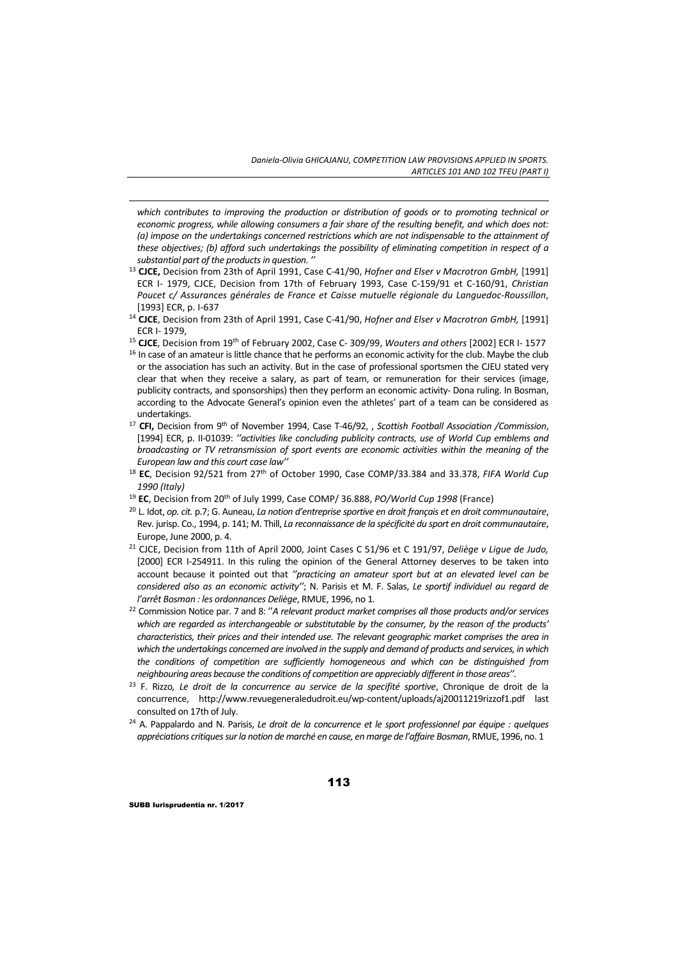*which contributes to improving the production or distribution of goods or to promoting technical or economic progress, while allowing consumers a fair share of the resulting benefit, and which does not: (a) impose on the undertakings concerned restrictions which are not indispensable to the attainment of these objectives; (b) afford such undertakings the possibility of eliminating competition in respect of a substantial part of the productsin question. ''*

<u> 1989 - Johann Stein, marwolaethau a bhann an t-Amhain ann an t-Amhain an t-Amhain an t-Amhain an t-Amhain an </u>

- <sup>13</sup> **CJCE,** Decision from 23th of April 1991, Case C‐41/90, *Hofner and Elser v Macrotron GmbH,* [1991] ECR I‐ 1979, CJCE, Decision from 17th of February 1993, Case C‐159/91 et C‐160/91, *Christian Poucet c/ Assurances générales de France et Caisse mutuelle régionale du Languedoc‐Roussillon*, [1993] ECR, p. I‐637
- <sup>14</sup> **CJCE**, Decision from 23th of April 1991, Case C‐41/90, *Hofner and Elser v Macrotron GmbH,* [1991] ECR I‐ 1979,
- <sup>15</sup> **CJCE**, Decision from 19th of February 2002, Case C‐ 309/99, *Wouters and others* [2002] ECR I‐ 1577
- <sup>16</sup> In case of an amateur is little chance that he performs an economic activity for the club. Maybe the club or the association has such an activity. But in the case of professional sportsmen the CJEU stated very clear that when they receive a salary, as part of team, or remuneration for their services (image, publicity contracts, and sponsorships) then they perform an economic activity- Dona ruling. In Bosman, according to the Advocate General's opinion even the athletes' part of a team can be considered as undertakings.
- <sup>17</sup> **CFI,** Decision from 9th of November 1994, Case T‐46/92, , *Scottish Football Association /Commission*, [1994] ECR, p. II‐01039: *''activities like concluding publicity contracts, use of World Cup emblems and broadcasting or TV retransmission of sport events are economic activities within the meaning of the European law and this court case law''*
- <sup>18</sup> **EC**, Decision 92/521 from 27th of October 1990, Case COMP/33.384 and 33.378, *FIFA World Cup 1990 (Italy)*
- <sup>19</sup> **EC**, Decision from 20th of July 1999, Case COMP/ 36.888, *PO/World Cup 1998* (France)
- <sup>20</sup> L. Idot, *op. cit.* p.7; G. Auneau, *La notion d'entreprise sportive en droit français et en droit communautaire*, Rev. jurisp. Co., 1994, p. 141; M. Thill, *La reconnaissance de la spécificité du sport en droit communautaire*, Europe, June 2000, p. 4.
- <sup>21</sup> CJCE, Decision from 11th of April 2000, Joint Cases C 51/96 et C 191/97, *Deliège v Ligue de Judo,* [2000] ECR I-254911. In this ruling the opinion of the General Attorney deserves to be taken into account because it pointed out that *''practicing an amateur sport but at an elevated level can be considered also as an economic activity''*; N. Parisis et M. F. Salas, *Le sportif individuel au regard de l'arrêt Bosman : les ordonnances Deliège*, RMUE, 1996, no 1.
- <sup>22</sup> Commission Notice par. 7 and 8: ''*A relevant product market comprises all those products and/or services which are regarded as interchangeable or substitutable by the consumer, by the reason of the products' characteristics, their prices and their intended use. The relevant geographic market comprises the area in which the undertakings concerned are involved in the supply and demand of products and services, in which the conditions of competition are sufficiently homogeneous and which can be distinguished from neighbouring areas because the conditions of competition are appreciably differentin those areas''.*
- <sup>23</sup> F. Rizzo*, Le droit de la concurrence au service de la specifité sportive*, Chronique de droit de la concurrence, http://www.revuegeneraledudroit.eu/wp‐content/uploads/aj20011219rizzof1.pdf last consulted on 17th of July.
- <sup>24</sup> A. Pappalardo and N. Parisis, *Le droit de la concurrence et le sport professionnel par équipe : quelques appréciations critiquessurla notion de marché en cause, en marge de l'affaire Bosman*, RMUE, 1996, no. 1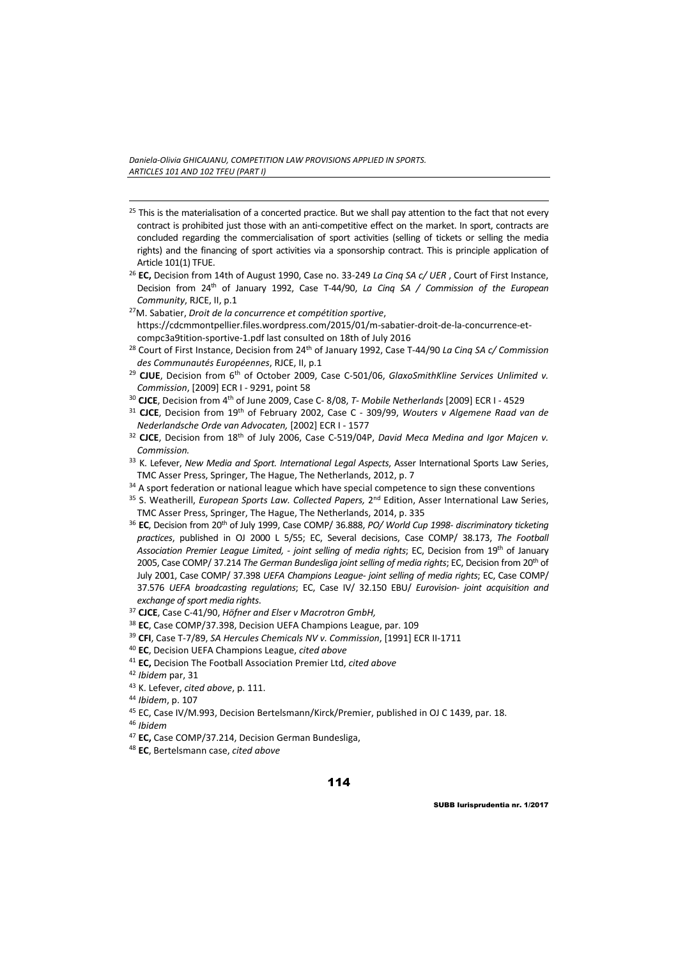<sup>25</sup> This is the materialisation of a concerted practice. But we shall pay attention to the fact that not every contract is prohibited just those with an anti‐competitive effect on the market. In sport, contracts are concluded regarding the commercialisation of sport activities (selling of tickets or selling the media rights) and the financing of sport activities via a sponsorship contract. This is principle application of Article 101(1) TFUE.

<u> 1989 - Johann Stein, marwolaethau a bhann an t-Amhain ann an t-Amhain an t-Amhain an t-Amhain an t-Amhain an </u>

- <sup>26</sup> **EC,** Decision from 14th of August 1990, Case no. 33‐249 *La Cinq SA c/ UER* , Court of First Instance, Decision from 24th of January 1992, Case T‐44/90, *La Cinq SA / Commission of the European Community*, RJCE, II, p.1
- 27M. Sabatier, *Droit de la concurrence et compétition sportive*, https://cdcmmontpellier.files.wordpress.com/2015/01/m‐sabatier‐droit‐de‐la‐concurrence‐et‐ compc3a9tition‐sportive‐1.pdf last consulted on 18th of July 2016
- <sup>28</sup> Court of First Instance, Decision from 24th of January 1992, Case T‐44/90 *La Cinq SA c/ Commission des Communautés Européennes*, RJCE, II, p.1
- <sup>29</sup> **CJUE**, Decision from 6th of October 2009, Case C‐501/06, *GlaxoSmithKline Services Unlimited v. Commission*, [2009] ECR I ‐ 9291, point 58
- <sup>30</sup> **CJCE**, Decision from 4th of June 2009, Case C‐ 8/08, *T‐ Mobile Netherlands* [2009] ECR I ‐ 4529
- <sup>31</sup> **CJCE**, Decision from 19th of February 2002, Case C ‐ 309/99, *Wouters v Algemene Raad van de Nederlandsche Orde van Advocaten,* [2002] ECR I ‐ 1577
- <sup>32</sup> **CJCE**, Decision from 18th of July 2006, Case C‐519/04P, *David Meca Medina and Igor Majcen v. Commission.*
- <sup>33</sup> K. Lefever, *New Media and Sport. International Legal Aspects*, Asser International Sports Law Series, TMC Asser Press, Springer, The Hague, The Netherlands, 2012, p. 7
- $34$  A sport federation or national league which have special competence to sign these conventions
- <sup>35</sup> S. Weatherill, *European Sports Law. Collected Papers,* 2nd Edition, Asser International Law Series, TMC Asser Press, Springer, The Hague, The Netherlands, 2014, p. 335
- <sup>36</sup> **EC**, Decision from 20th of July 1999, Case COMP/ 36.888, *PO/ World Cup 1998‐ discriminatory ticketing practices*, published in OJ 2000 L 5/55; EC, Several decisions, Case COMP/ 38.173, *The Football Association Premier League Limited, ‐ joint selling of media rights*; EC, Decision from 19th of January 2005, Case COMP/ 37.214 *The German Bundesliga joint selling of media rights*; EC, Decision from 20th of July 2001, Case COMP/ 37.398 *UEFA Champions League‐ joint selling of media rights*; EC, Case COMP/ 37.576 *UEFA broadcasting regulations*; EC, Case IV/ 32.150 EBU/ *Eurovision‐ joint acquisition and exchange ofsport media rights*.
- <sup>37</sup> **CJCE**, Case C‐41/90, *Höfner and Elser v Macrotron GmbH,*
- <sup>38</sup> **EC**, Case COMP/37.398, Decision UEFA Champions League, par. 109
- <sup>39</sup> **CFI**, Case T‐7/89, *SA Hercules Chemicals NV v. Commission*, [1991] ECR II‐1711
- <sup>40</sup> **EC**, Decision UEFA Champions League, *cited above*
- <sup>41</sup> **EC,** Decision The Football Association Premier Ltd, *cited above*
- <sup>42</sup> *Ibidem* par, 31
- <sup>43</sup> K. Lefever, *cited above*, p. 111.
- <sup>44</sup> *Ibidem*, p. 107
- <sup>45</sup> EC, Case IV/M.993, Decision Bertelsmann/Kirck/Premier, published in OJ C 1439, par. 18.
- <sup>46</sup> *Ibidem*
- <sup>47</sup> **EC,** Case COMP/37.214, Decision German Bundesliga,
- <sup>48</sup> **EC**, Bertelsmann case, *cited above*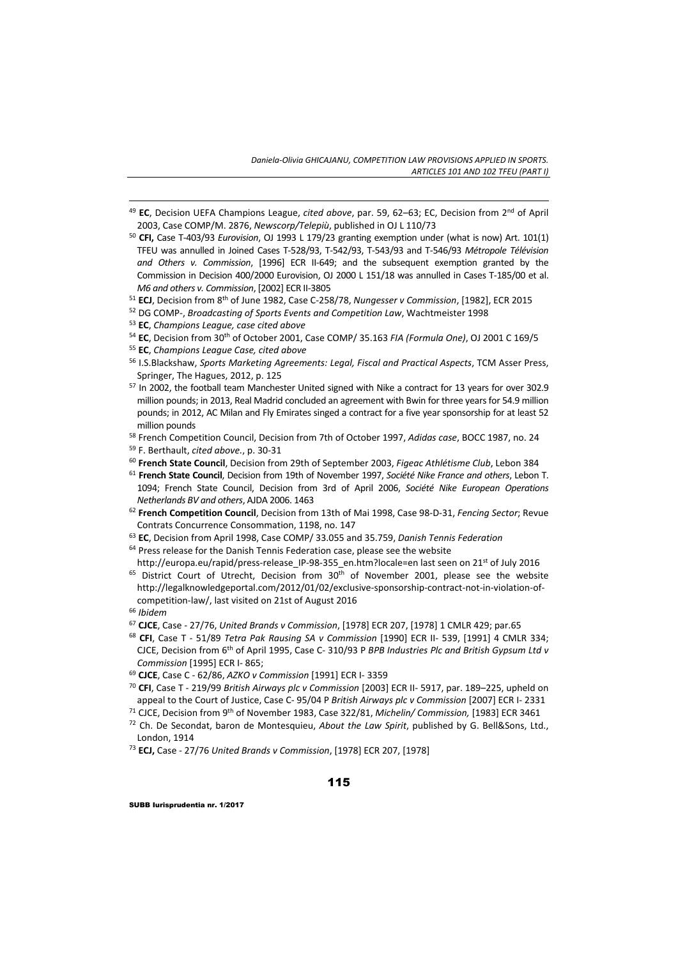- <u> 1989 Johann Stein, marwolaethau a bhann an t-Amhain ann an t-Amhain an t-Amhain an t-Amhain an t-Amhain an </u> <sup>49</sup> **EC**, Decision UEFA Champions League, *cited above*, par. 59, 62–63; EC, Decision from 2nd of April 2003, Case COMP/M. 2876, *Newscorp/Telepiù*, published in OJ L 110/73
- <sup>50</sup> **CFI,** Case T‐403/93 *Eurovision*, OJ 1993 L 179/23 granting exemption under (what is now) Art. 101(1) TFEU was annulled in Joined Cases T‐528/93, T‐542/93, T‐543/93 and T‐546/93 *Métropole Télévision and Others v. Commission*, [1996] ECR II‐649; and the subsequent exemption granted by the Commission in Decision 400/2000 Eurovision, OJ 2000 L 151/18 was annulled in Cases T‐185/00 et al. *M6 and others v. Commission*, [2002] ECR II‐3805
- <sup>51</sup> **ECJ**, Decision from 8th of June 1982, Case C‐258/78, *Nungesser v Commission*, [1982], ECR 2015
- <sup>52</sup> DG COMP‐, *Broadcasting of Sports Events and Competition Law*, Wachtmeister 1998
- <sup>53</sup> **EC**, *Champions League, case cited above*
- <sup>54</sup> **EC**, Decision from 30th of October 2001, Case COMP/ 35.163 *FIA (Formula One)*, OJ 2001 C 169/5
- <sup>55</sup> **EC**, *Champions League Case, cited above*
- <sup>56</sup> I.S.Blackshaw, *Sports Marketing Agreements: Legal, Fiscal and Practical Aspects*, TCM Asser Press, Springer, The Hagues, 2012, p. 125
- <sup>57</sup> In 2002, the football team Manchester United signed with Nike a contract for 13 years for over 302.9 million pounds; in 2013, Real Madrid concluded an agreement with Bwin for three yearsfor 54.9 million pounds; in 2012, AC Milan and Fly Emirates singed a contract for a five year sponsorship for at least 52 million pounds
- <sup>58</sup> French Competition Council, Decision from 7th of October 1997, *Adidas case*, BOCC 1987, no. 24
- <sup>59</sup> F. Berthault, *cited above.*, p. 30‐31
- <sup>60</sup> **French State Council**, Decision from 29th of September 2003, *Figeac Athlétisme Club*, Lebon 384
- <sup>61</sup> **French State Council**, Decision from 19th of November 1997, *Société Nike France and others*, Lebon T. 1094; French State Council, Decision from 3rd of April 2006, *Société Nike European Operations Netherlands BV and others*, AJDA 2006. 1463
- <sup>62</sup> **French Competition Council**, Decision from 13th of Mai 1998, Case 98‐D‐31, *Fencing Sector*; Revue Contrats Concurrence Consommation, 1198, no. 147
- <sup>63</sup> **EC**, Decision from April 1998, Case COMP/ 33.055 and 35.759, *Danish Tennis Federation*
- <sup>64</sup> Press release for the Danish Tennis Federation case, please see the website http://europa.eu/rapid/press-release\_IP‐98‐355\_en.htm?locale=en last seen on 21<sup>st</sup> of July 2016
- <sup>65</sup> District Court of Utrecht, Decision from 30<sup>th</sup> of November 2001, please see the website http://legalknowledgeportal.com/2012/01/02/exclusive-sponsorship-contract-not-in-violation-ofcompetition‐law/, last visited on 21st of August 2016
- <sup>66</sup> *Ibidem*
- <sup>67</sup> **CJCE**, Case ‐ 27/76, *United Brands v Commission*, [1978] ECR 207, [1978] 1 CMLR 429; par.65
- <sup>68</sup> **CFI**, Case T ‐ 51/89 *Tetra Pak Rausing SA v Commission* [1990] ECR II‐ 539, [1991] 4 CMLR 334; CJCE, Decision from 6th of April 1995, Case C‐ 310/93 P *BPB Industries Plc and British Gypsum Ltd v Commission* [1995] ECR I‐ 865;
- <sup>69</sup> **CJCE**, Case C ‐ 62/86, *AZKO v Commission* [1991] ECR I‐ 3359
- <sup>70</sup> **CFI**, Case T ‐ 219/99 *British Airways plc v Commission* [2003] ECR II‐ 5917, par. 189–225, upheld on appeal to the Court of Justice, Case C‐ 95/04 P *British Airways plc v Commission* [2007] ECR I‐ 2331
- <sup>71</sup> CJCE, Decision from 9th of November 1983, Case 322/81, *Michelin/ Commission,* [1983] ECR 3461
- <sup>72</sup> Ch. De Secondat, baron de Montesquieu, *About the Law Spirit*, published by G. Bell&Sons, Ltd., London, 1914
- <sup>73</sup> **ECJ,** Case ‐ 27/76 *United Brands v Commission*, [1978] ECR 207, [1978]